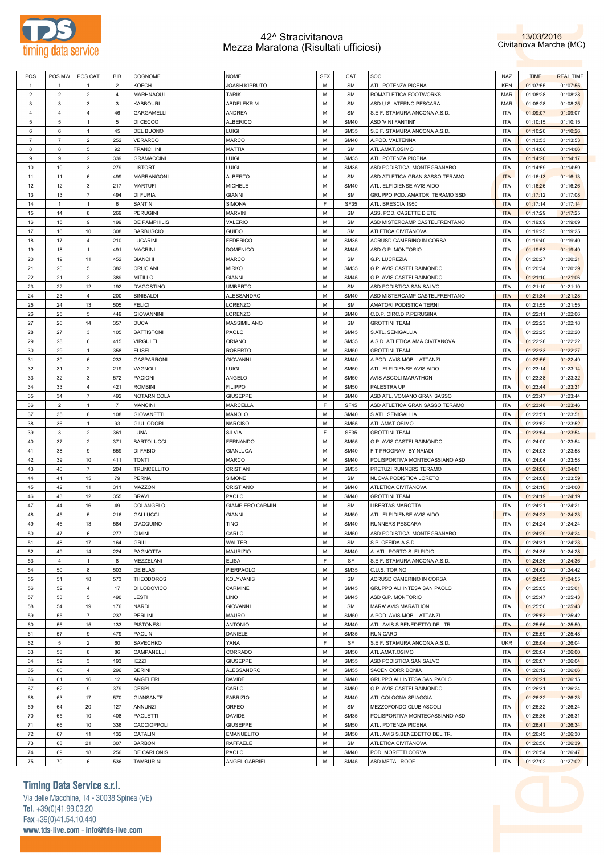



| POS            | POS MW         | POS CAT        | BIB            | COGNOME            | <b>NOME</b>             | <b>SEX</b>  | CAT         | SOC                                              | NAZ                      | <b>TIME</b> | <b>REAL TIME</b> |
|----------------|----------------|----------------|----------------|--------------------|-------------------------|-------------|-------------|--------------------------------------------------|--------------------------|-------------|------------------|
| $\mathbf{1}$   | $\mathbf{1}$   | 1              | $\overline{2}$ | KOECH              | JOASH KIPRUTO           | M           | <b>SM</b>   | ATL. POTENZA PICENA                              | <b>KEN</b>               | 01:07:55    | 01:07:55         |
| $\overline{2}$ | $\overline{c}$ | $\overline{2}$ | 4              | MARHNAOUI          | <b>TARIK</b>            | M           | <b>SM</b>   | ROMATLETICA FOOTWORKS                            | <b>MAR</b>               | 01:08:28    | 01:08:28         |
| 3              | 3              | 3              | 3              | <b>KABBOURI</b>    | ABDELEKRIM              | M           | <b>SM</b>   | ASD U.S. ATERNO PESCARA                          | <b>MAR</b>               | 01:08:28    | 01:08:25         |
| 4              | 4              | $\overline{4}$ | 46             | <b>GARGAMELLI</b>  | ANDREA                  | M           | <b>SM</b>   | S.E.F. STAMURA ANCONA A.S.D.                     | <b>ITA</b>               | 01:09:07    | 01:09:07         |
| 5              | 5              | $\mathbf{1}$   | 5              | DI CECCO           | <b>ALBERICO</b>         | M           | <b>SM40</b> | <b>ASD 'VINI FANTINI'</b>                        | <b>ITA</b>               | 01:10:15    | 01:10:15         |
| 6              | 6              | $\overline{1}$ | 45             | DEL BUONO          | LUIGI                   | M           | <b>SM35</b> | S.E.F. STAMURA ANCONA A.S.D.                     | <b>ITA</b>               | 01:10:26    | 01:10:26         |
| $\overline{7}$ | $\overline{7}$ | $\overline{2}$ | 252            | <b>VERARDO</b>     | <b>MARCO</b>            | M           | <b>SM40</b> | A.POD. VALTENNA                                  | <b>ITA</b>               | 01:13:53    | 01:13:53         |
| 8              | 8              | 5              | 92             | <b>FRANCHINI</b>   | <b>MATTIA</b>           | M           | <b>SM</b>   | ATL.AMAT.OSIMO                                   | <b>ITA</b>               | 01:14:06    | 01:14:06         |
| 9              | 9              | $\overline{2}$ | 339            | <b>GRAMACCINI</b>  | LUIGI                   | M           | <b>SM35</b> | ATL. POTENZA PICENA                              | <b>ITA</b>               | 01:14:20    | 01:14:17         |
| 10             | 10             | 3              | 279            | <b>LISTORTI</b>    | Luigi                   | M           | <b>SM35</b> | ASD PODISTICA MONTEGRANARO                       | <b>ITA</b>               | 01:14:59    | 01:14:59         |
| 11             | 11             | 6              | 499            | <b>MARRANGONI</b>  | <b>ALBERTO</b>          | M           | <b>SM</b>   | ASD ATLETICA GRAN SASSO TERAMO                   | <b>ITA</b>               | 01:16:13    | 01:16:13         |
|                |                |                |                | <b>MARTUFI</b>     |                         | M           | <b>SM40</b> | ATL. ELPIDIENSE AVIS AIDO                        | <b>ITA</b>               |             |                  |
| 12             | 12             | 3              | 217            |                    | <b>MICHELE</b>          |             |             |                                                  |                          | 01:16:26    | 01:16:26         |
| 13             | 13             | $\overline{7}$ | 494            | <b>DI FURIA</b>    | <b>GIANNI</b>           | M           | <b>SM</b>   | GRUPPO POD. AMATORI TERAMO SSD                   | <b>ITA</b>               | 01:17:12    | 01:17:08         |
| 14             | $\mathbf{1}$   | $\mathbf{1}$   | 6              | SANTINI            | <b>SIMONA</b>           | E           | SF35        | ATL. BRESCIA 1950                                | <b>ITA</b>               | 01:17:14    | 01:17:14         |
| 15             | 14             | 8              | 269            | <b>PERUGINI</b>    | <b>MARVIN</b>           | M           | <b>SM</b>   | ASS. POD. CASETTE D'ETE                          | <b>ITA</b>               | 01:17:29    | 01:17:25         |
| 16             | 15             | 9              | 199            | DE PAMPHILIS       | VALERIO                 | M           | <b>SM</b>   | ASD MISTERCAMP CASTELFRENTANO                    | <b>ITA</b>               | 01:19:09    | 01:19:09         |
| 17             | 16             | 10             | 308            | <b>BARBUSCIO</b>   | <b>GUIDO</b>            | M           | <b>SM</b>   | ATLETICA CIVITANOVA                              | <b>ITA</b>               | 01:19:25    | 01:19:25         |
| 18             | 17             | $\overline{4}$ | 210            | LUCARINI           | <b>FEDERICO</b>         | M           | <b>SM35</b> | ACRUSD CAMERINO IN CORSA                         | <b>ITA</b>               | 01:19:40    | 01:19:40         |
| 19             | 18             | $\overline{1}$ | 491            | <b>MACRINI</b>     | <b>DOMENICO</b>         | M           | <b>SM45</b> | ASD G.P. MONTORIO                                | <b>ITA</b>               | 01:19:53    | 01:19:49         |
| 20             | 19             | 11             | 452            | <b>BIANCHI</b>     | <b>MARCO</b>            | M           | <b>SM</b>   | G.P. LUCREZIA                                    | <b>ITA</b>               | 01:20:27    | 01:20:21         |
| 21             | 20             | 5              | 382            | <b>CRUCIANI</b>    | <b>MIRKO</b>            | M           | <b>SM35</b> | G.P. AVIS CASTELRAIMONDO                         | <b>ITA</b>               | 01:20:34    | 01:20:29         |
| 22             | 21             | $\overline{2}$ | 389            | <b>MITILLO</b>     | <b>GIANNI</b>           | M           | <b>SM45</b> | G.P. AVIS CASTELRAIMONDO                         | <b>ITA</b>               | 01:21:10    | 01:21:06         |
| 23             | 22             | 12             | 192            | <b>D'AGOSTINO</b>  | <b>UMBERTO</b>          | M           | <b>SM</b>   | ASD PODISTICA SAN SALVO                          | <b>ITA</b>               | 01:21:10    | 01:21:10         |
| 24             | 23             | $\overline{4}$ | 200            | SINIBALDI          | ALESSANDRO              | M           | <b>SM40</b> | ASD MISTERCAMP CASTELFRENTANO                    | <b>ITA</b>               | 01:21:34    | 01:21:28         |
| 25             | 24             | 13             | 505            | <b>FELICI</b>      | LORENZO                 | M           | <b>SM</b>   | AMATORI PODISTICA TERNI                          | <b>ITA</b>               | 01:21:55    | 01:21:55         |
| 26             | 25             | 5              | 449            | <b>GIOVANNINI</b>  | LORENZO                 | M           | <b>SM40</b> | C.D.P. CIRC.DIP.PERUGINA                         | <b>ITA</b>               | 01:22:11    | 01:22:06         |
| 27             | 26             | 14             | 357            | <b>DUCA</b>        | MASSIMILIANO            | M           | <b>SM</b>   | <b>GROTTINI TEAM</b>                             | <b>ITA</b>               | 01:22:23    | 01:22:18         |
| 28             | 27             | 3              | 105            | <b>BATTISTONI</b>  | PAOLO                   | M           | <b>SM45</b> | S.ATL. SENIGALLIA                                | <b>ITA</b>               | 01:22:25    | 01:22:20         |
| 29             | 28             | 6              | 415            | <b>VIRGULTI</b>    | ORIANO                  | M           | <b>SM35</b> | A.S.D. ATLETICA AMA CIVITANOVA                   | <b>ITA</b>               | 01:22:28    | 01:22:22         |
| 30             | 29             | $\mathbf{1}$   | 358            | <b>ELISEI</b>      | <b>ROBERTO</b>          | M           | <b>SM50</b> | <b>GROTTINI TEAM</b>                             | <b>ITA</b>               | 01:22:33    | 01:22:27         |
| 31             | 30             | 6              | 233            | <b>GASPARRONI</b>  | <b>GIOVANNI</b>         | M           | <b>SM40</b> | A.POD. AVIS MOB. LATTANZI                        | <b>ITA</b>               | 01:22:56    | 01:22:49         |
| 32             | 31             | $\overline{2}$ | 219            | VAGNOLI            | LUIGI                   | M           | <b>SM50</b> | ATL. ELPIDIENSE AVIS AIDO                        | <b>ITA</b>               | 01:23:14    | 01:23:14         |
| 33             | 32             | 3              | 572            | <b>PACIONI</b>     | ANGELO                  | M           | <b>SM50</b> | AVIS ASCOLI MARATHON                             | <b>ITA</b>               | 01:23:38    | 01:23:32         |
| 34             | 33             | $\overline{4}$ | 421            | <b>ROMBINI</b>     | <b>FILIPPO</b>          | M           | <b>SM50</b> | PALESTRA UP                                      | <b>ITA</b>               | 01:23:44    | 01:23:31         |
| 35             | 34             | $\overline{7}$ | 492            | NOTARNICOLA        | <b>GIUSEPPE</b>         | M           | <b>SM40</b> | ASD ATL. VOMANO GRAN SASSO                       | <b>ITA</b>               | 01:23:47    | 01:23:44         |
| 36             | $\overline{c}$ | $\overline{1}$ | $\overline{7}$ | <b>MANCINI</b>     | <b>MARCELLA</b>         | $\mathsf F$ | SF45        | ASD ATLETICA GRAN SASSO TERAMO                   | <b>ITA</b>               | 01:23:48    | 01:23:46         |
| 37             | 35             | 8              | 108            | <b>GIOVANETTI</b>  | MANOLO                  | M           | <b>SM40</b> | S.ATL. SENIGALLIA                                | <b>ITA</b>               | 01:23:51    | 01:23:51         |
| 38             | 36             | $\mathbf{1}$   | 93             | <b>GIULIODORI</b>  | <b>NARCISO</b>          | M           | <b>SM55</b> | ATL.AMAT.OSIMO                                   | <b>ITA</b>               | 01:23:52    | 01:23:52         |
| 39             | 3              | $\overline{2}$ | 361            | LUNA               | SILVIA                  | $\mathsf F$ | SF35        | <b>GROTTINI TEAM</b>                             | <b>ITA</b>               | 01:23:54    | 01:23:54         |
| 40             | 37             | $\overline{2}$ | 371            | <b>BARTOLUCCI</b>  | <b>FERNANDO</b>         | M           | <b>SM55</b> | G.P. AVIS CASTELRAIMONDO                         | <b>ITA</b>               | 01:24:00    | 01:23:54         |
| 41             | 38             | 9              | 559            | DI FABIO           | <b>GIANLUCA</b>         | M           | <b>SM40</b> | FIT PROGRAM BY NAIADI                            | <b>ITA</b>               | 01:24:03    | 01:23:58         |
| 42             | 39             | 10             | 411            | TONTI              | MARCO                   | M           | <b>SM40</b> |                                                  | <b>ITA</b>               | 01:24:04    |                  |
|                |                |                |                |                    | CRISTIAN                |             |             | POLISPORTIVA MONTECASSIANO ASD                   |                          |             | 01:23:58         |
| 43             | 40             | $\overline{7}$ | 204            | <b>TRUNCELLITO</b> |                         | M           | <b>SM35</b> | PRETUZI RUNNERS TERAMO<br>NUOVA PODISTICA LORETO | <b>ITA</b>               | 01:24:06    | 01:24:01         |
| 44             | 41             | 15             | 79             | <b>PERNA</b>       | SIMONE                  | M           | <b>SM</b>   |                                                  | <b>ITA</b>               | 01:24:08    | 01:23:59         |
| 45             | 42             | 11             | 311            | MAZZONI            | CRISTIANO               | M           | <b>SM40</b> | ATLETICA CIVITANOVA                              | <b>ITA</b>               | 01:24:10    | 01:24:00         |
| 46             | 43             | 12             | 355            | <b>BRAVI</b>       | PAOLO                   | M           | <b>SM40</b> | <b>GROTTINI TEAM</b>                             | <b>ITA</b>               | 01:24:19    | 01:24:19         |
| 47             | 44             | 16             | 49             | COLANGELO          | <b>GIAMPIERO CARMIN</b> | M           | <b>SM</b>   | LIBERTAS MAROTTA                                 | <b>ITA</b>               | 01:24:21    | 01:24:21         |
| 48             | 45             | 5              | 216            | <b>GALLUCCI</b>    | <b>GIANNI</b>           | M           | <b>SM50</b> | ATL. ELPIDIENSE AVIS AIDO                        | <b>ITA</b>               | 01:24:23    | 01:24:23         |
| 49             | 46             | 13             | 584            | <b>D'ACQUINO</b>   | <b>TINO</b>             | M           | <b>SM40</b> | RUNNERS PESCARA                                  | <b>ITA</b>               | 01:24:24    | 01:24:24         |
| 50             | 47             | 6              | 277            | <b>CIMINI</b>      | CARLO                   | М           | <b>SM50</b> | ASD PODISTICA MONTEGRANARO                       | <b>ITA</b>               | 01:24:29    | 01:24:24         |
| 51             | 48             | 17             | 164            | <b>GRILLI</b>      | WALTER                  | M           | <b>SM</b>   | S.P. OFFIDA A.S.D.                               | <b>ITA</b>               | 01:24:31    | 01:24:23         |
| 52             | 49             | 14             | 224            | PAGNOTTA           | <b>MAURIZIO</b>         | M           | <b>SM40</b> | A. ATL. PORTO S. ELPIDIO                         | <b>ITA</b>               | 01:24:35    | 01:24:28         |
| 53             | 4              | $\mathbf{1}$   | 8              | MEZZELANI          | <b>ELISA</b>            | F           | SF          | S.E.F. STAMURA ANCONA A.S.D.                     | <b>ITA</b>               | 01:24:36    | 01:24:36         |
| 54             | 50             | 8              | 503            | DE BLASI           | PIERPAOLO               | M           | <b>SM35</b> | C.U.S. TORINO                                    | <b>ITA</b>               | 01:24:42    | 01:24:42         |
| 55             | 51             | 18             | 573            | <b>THEODOROS</b>   | <b>KOLYVANIS</b>        | M           | <b>SM</b>   | ACRUSD CAMERINO IN CORSA                         | <b>ITA</b>               | 01:24:55    | 01:24:55         |
| 56             | 52             | $\overline{4}$ | 17             | DI LODOVICO        | CARMINE                 | M           | <b>SM45</b> | GRUPPO ALI INTESA SAN PAOLO                      | <b>ITA</b>               | 01:25:05    | 01:25:01         |
| 57             | 53             | 5              | 490            | LESTI              | LINO                    | M           | <b>SM45</b> | ASD G.P. MONTORIO                                | <b>ITA</b>               | 01:25:47    | 01:25:43         |
| 58             | 54             | 19             | 176            | <b>NARDI</b>       | <b>GIOVANNI</b>         | M           | <b>SM</b>   | MARA' AVIS MARATHON                              | <b>ITA</b>               | 01:25:50    | 01:25:43         |
| 59             | 55             | $\overline{7}$ | 237            | PERLINI            | <b>MAURO</b>            | M           | <b>SM50</b> | A.POD. AVIS MOB. LATTANZI                        | <b>ITA</b>               | 01:25:53    | 01:25:42         |
| 60             | 56             | 15             | 133            | <b>PISTONESI</b>   | <b>ANTONIO</b>          | M           | <b>SM40</b> | ATL. AVIS S.BENEDETTO DEL TR.                    | <b>ITA</b>               | 01:25:56    | 01:25:50         |
| 61             | 57             | 9              | 479            | PAOLINI            | DANIELE                 | M           | <b>SM35</b> | <b>RUN CARD</b>                                  | <b>ITA</b>               | 01:25:59    | 01:25:48         |
| 62             | 5              | $\overline{2}$ | 60             | SAVECHKO           | YANA                    | F           | SF          | S.E.F. STAMURA ANCONA A.S.D.                     | <b>UKR</b>               | 01:26:04    | 01:26:04         |
| 63             | 58             | 8              | 86             | CAMPANELLI         | CORRADO                 | M           | <b>SM50</b> | ATL.AMAT.OSIMO                                   | <b>ITA</b>               | 01:26:04    | 01:26:00         |
| 64             | 59             | $\mathbf 3$    | 193            | <b>IEZZI</b>       | <b>GIUSEPPE</b>         | M           | <b>SM55</b> | ASD PODISTICA SAN SALVO                          | <b>ITA</b>               | 01:26:07    | 01:26:04         |
| 65             | 60             | $\overline{4}$ | 296            | <b>BERINI</b>      | ALESSANDRO              | M           | <b>SM55</b> | SACEN CORRIDONIA                                 | <b>ITA</b>               | 01:26:12    | 01:26:06         |
| 66             | 61             | 16             | 12             | ANGELERI           | <b>DAVIDE</b>           | M           | <b>SM40</b> | GRUPPO ALI INTESA SAN PAOLO                      | <b>ITA</b>               | 01:26:21    | 01:26:15         |
| 67             | 62             | 9              | 379            | <b>CESPI</b>       | CARLO                   | M           | <b>SM50</b> | G.P. AVIS CASTELRAIMONDO                         | <b>ITA</b>               | 01:26:31    | 01:26:24         |
| 68             | 63             | 17             | 570            | <b>GIANSANTE</b>   | <b>FABRIZIO</b>         | M           | <b>SM40</b> | ATL COLOGNA SPIAGGIA                             | <b>ITA</b>               | 01:26:32    | 01:26:23         |
|                |                |                |                |                    |                         |             |             |                                                  |                          |             |                  |
| 69             | 64             | 20             | 127            | <b>ANNUNZI</b>     | ORFEO                   | M           | <b>SM</b>   | MEZZOFONDO CLUB ASCOLI                           | <b>ITA</b>               | 01:26:32    | 01:26:24         |
| 70             | 65             | 10             | 408            | <b>PAOLETTI</b>    | <b>DAVIDE</b>           | M           | <b>SM35</b> | POLISPORTIVA MONTECASSIANO ASD                   | <b>ITA</b>               | 01:26:36    | 01:26:31         |
| 71             | 66             | 10             | 336            | CACCIOPPOLI        | <b>GIUSEPPE</b>         | M           | <b>SM50</b> | ATL. POTENZA PICENA                              | <b>ITA</b>               | 01:26:41    | 01:26:34         |
| 72             |                |                | 132            | CATALINI           | <b>EMANUELITO</b>       | M           | <b>SM50</b> | ATL. AVIS S.BENEDETTO DEL TR.                    | <b>ITA</b>               | 01:26:45    | 01:26:30         |
|                | 67             | 11             |                |                    |                         |             |             |                                                  |                          |             |                  |
| 73             | 68             | 21             | 307            | <b>BARBONI</b>     | RAFFAELE                | M           | <b>SM</b>   | ATLETICA CIVITANOVA                              | <b>ITA</b>               | 01:26:50    | 01:26:39         |
| 74<br>75       | 69<br>70       | 18<br>6        | 256            | DE CARLONIS        | PAOLO<br>ANGEL GABRIEL  | M<br>М      | <b>SM40</b> | POD. MORETTI CORVA<br>ASD METAL ROOF             | <b>ITA</b><br><b>ITA</b> | 01:26:54    | 01:26:47         |

# **Timing Data Service s.r.l.**

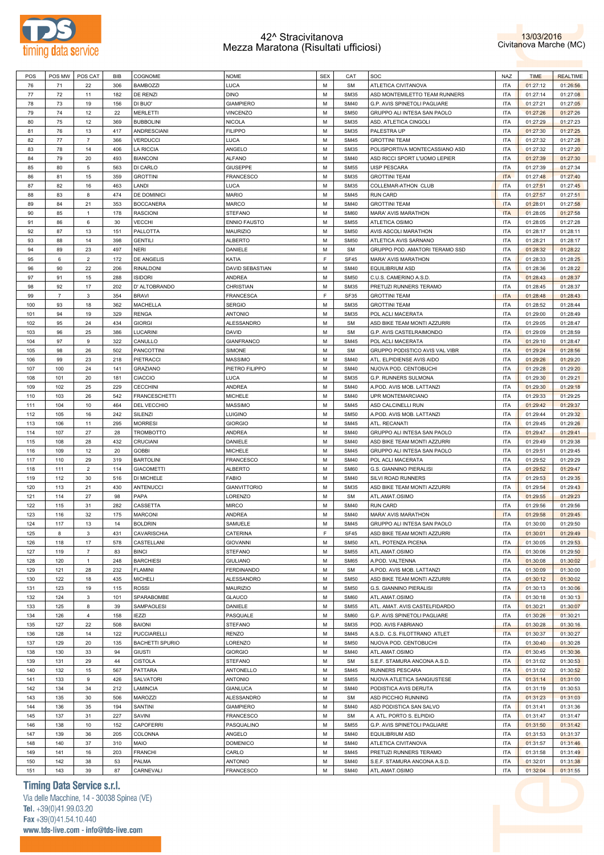



| POS | POS MW         | POS CAT                   | <b>BIB</b> | COGNOME                | <b>NOME</b>            | <b>SEX</b> | CAT         | SOC                            | <b>NAZ</b> | <b>TIME</b> | <b>REALTIME</b> |
|-----|----------------|---------------------------|------------|------------------------|------------------------|------------|-------------|--------------------------------|------------|-------------|-----------------|
| 76  | 71             | 22                        | 306        | <b>BAMBOZZI</b>        | LUCA                   | M          | <b>SM</b>   | ATLETICA CIVITANOVA            | <b>ITA</b> | 01:27:12    | 01:26:56        |
| 77  | 72             | 11                        | 182        | DE RENZI               | <b>DINO</b>            | М          | <b>SM35</b> | ASD MONTEMILETTO TEAM RUNNERS  | <b>ITA</b> | 01:27:14    | 01:27:08        |
| 78  | 73             | 19                        | 156        | DI BUO'                | <b>GIAMPIERO</b>       | M          | <b>SM40</b> | G.P. AVIS SPINETOLI PAGLIARE   | <b>ITA</b> | 01:27:21    | 01:27:05        |
| 79  | 74             | 12                        | 22         | <b>MERLETTI</b>        | VINCENZO               | М          | <b>SM50</b> | GRUPPO ALI INTESA SAN PAOLO    | <b>ITA</b> | 01:27:26    | 01:27:26        |
|     |                |                           |            |                        |                        |            |             |                                |            |             |                 |
| 80  | 75             | 12                        | 369        | <b>BUBBOLINI</b>       | <b>NICOLA</b>          | M          | <b>SM35</b> | ASD. ATLETICA CINGOLI          | <b>ITA</b> | 01:27:29    | 01:27:23        |
| 81  | 76             | 13                        | 417        | ANDRESCIANI            | <b>FILIPPO</b>         | M          | <b>SM35</b> | PALESTRA UP                    | <b>ITA</b> | 01:27:30    | 01:27:25        |
| 82  | 77             | $\overline{7}$            | 366        | <b>VERDUCCI</b>        | LUCA                   | M          | <b>SM45</b> | <b>GROTTINI TEAM</b>           | <b>ITA</b> | 01:27:32    | 01:27:28        |
| 83  | 78             | 14                        | 406        | <b>LA RICCIA</b>       | ANGELO                 | M          | <b>SM35</b> | POLISPORTIVA MONTECASSIANO ASD | <b>ITA</b> | 01:27:32    | 01:27:20        |
| 84  | 79             | 20                        | 493        | <b>BIANCONI</b>        | <b>ALFANO</b>          | M          | <b>SM40</b> | ASD RICCI SPORT L'UOMO LEPIER  | <b>ITA</b> | 01:27:39    | 01:27:30        |
| 85  | 80             | 5                         | 563        | DI CARLO               | <b>GIUSEPPE</b>        | M          | <b>SM55</b> | <b>UISP PESCARA</b>            | <b>ITA</b> | 01:27:39    | 01:27:34        |
| 86  | 81             | 15                        | 359        | <b>GROTTINI</b>        | FRANCESCO              | M          | <b>SM35</b> | <b>GROTTINI TEAM</b>           | <b>ITA</b> | 01:27:48    | 01:27:40        |
| 87  | 82             | 16                        | 463        | LANDI                  | LUCA                   | М          | <b>SM35</b> | COLLEMAR-ATHON CLUB            | <b>ITA</b> | 01:27:51    | 01:27:45        |
| 88  | 83             | 8                         | 474        | DE DOMINICI            | <b>MARIO</b>           | M          | <b>SM45</b> | <b>RUN CARD</b>                | <b>ITA</b> | 01:27:57    | 01:27:51        |
|     |                |                           |            |                        |                        |            |             |                                |            |             |                 |
| 89  | 84             | 21                        | 353        | <b>BOCCANERA</b>       | MARCO                  | М          | <b>SM40</b> | <b>GROTTINI TEAM</b>           | <b>ITA</b> | 01:28:01    | 01:27:58        |
| 90  | 85             | $\mathbf{1}$              | 178        | <b>RASCIONI</b>        | <b>STEFANO</b>         | M          | SM60        | MARA' AVIS MARATHON            | <b>ITA</b> | 01:28:05    | 01:27:58        |
| 91  | 86             | 6                         | 30         | <b>VECCHI</b>          | <b>ENNIO FAUSTO</b>    | М          | <b>SM55</b> | ATLETICA OSIMO                 | <b>ITA</b> | 01:28:05    | 01:27:28        |
| 92  | 87             | 13                        | 151        | <b>PALLOTTA</b>        | <b>MAURIZIO</b>        | M          | <b>SM50</b> | AVIS ASCOLI MARATHON           | <b>ITA</b> | 01:28:17    | 01:28:11        |
| 93  | 88             | 14                        | 398        | <b>GENTILI</b>         | <b>ALBERTO</b>         | M          | <b>SM50</b> | ATLETICA AVIS SARNANO          | <b>ITA</b> | 01:28:21    | 01:28:17        |
| 94  | 89             | 23                        | 497        | <b>NERI</b>            | DANIELE                | M          | <b>SM</b>   | GRUPPO POD. AMATORI TERAMO SSD | <b>ITA</b> | 01:28:32    | 01:28:22        |
| 95  | 6              | $\overline{2}$            | 172        | DE ANGELIS             | KATIA                  | F          | <b>SF45</b> | MARA' AVIS MARATHON            | <b>ITA</b> | 01:28:33    | 01:28:25        |
| 96  | 90             | 22                        | 206        | <b>RINALDONI</b>       | <b>DAVID SEBASTIAN</b> | M          | <b>SM40</b> | EQUILIBRIUM ASD                | <b>ITA</b> | 01:28:36    | 01:28:22        |
| 97  | 91             | 15                        | 288        | <b>ISIDORI</b>         | ANDREA                 | М          | <b>SM50</b> | C.U.S. CAMERINO A.S.D.         | <b>ITA</b> | 01:28:43    | 01:28:37        |
|     |                |                           |            | D' ALTOBRANDO          |                        | M          |             |                                |            |             |                 |
| 98  | 92             | 17                        | 202        |                        | CHRISTIAN              |            | <b>SM35</b> | PRETUZI RUNNERS TERAMO         | <b>ITA</b> | 01:28:45    | 01:28:37        |
| 99  | $\overline{7}$ | $\mathbf 3$               | 354        | <b>BRAVI</b>           | FRANCESCA              | F          | SF35        | <b>GROTTINI TEAM</b>           | <b>ITA</b> | 01:28:48    | 01:28:43        |
| 100 | 93             | 18                        | 362        | <b>MACHELLA</b>        | <b>SERGIO</b>          | M          | <b>SM35</b> | <b>GROTTINI TEAM</b>           | <b>ITA</b> | 01:28:52    | 01:28:44        |
| 101 | 94             | 19                        | 329        | <b>RENGA</b>           | <b>ANTONIO</b>         | М          | <b>SM35</b> | POL ACLI MACERATA              | <b>ITA</b> | 01:29:00    | 01:28:49        |
| 102 | 95             | 24                        | 434        | <b>GIORGI</b>          | <b>ALESSANDRO</b>      | M          | <b>SM</b>   | ASD BIKE TEAM MONTI AZZURRI    | <b>ITA</b> | 01:29:05    | 01:28:47        |
| 103 | 96             | 25                        | 386        | <b>LUCARINI</b>        | DAVID                  | М          | <b>SM</b>   | G.P. AVIS CASTELRAIMONDO       | <b>ITA</b> | 01:29:09    | 01:28:59        |
| 104 | 97             | 9                         | 322        | CANULLO                | <b>GIANFRANCO</b>      | M          | <b>SM45</b> | POL ACLI MACERATA              | <b>ITA</b> | 01:29:10    | 01:28:47        |
| 105 | 98             | 26                        | 502        | PANCOTTINI             | SIMONE                 | М          | <b>SM</b>   | GRUPPO PODISTICO AVIS VAL VIBR | <b>ITA</b> | 01:29:24    | 01:28:56        |
| 106 | 99             | 23                        | 218        | PIETRACCI              | MASSIMO                | M          | <b>SM40</b> | ATL. ELPIDIENSE AVIS AIDO      | <b>ITA</b> | 01:29:26    | 01:29:20        |
|     | 100            | 24                        | 141        |                        | PIETRO FILIPPO         | M          | <b>SM40</b> | NUOVA POD. CENTOBUCHI          | <b>ITA</b> |             |                 |
| 107 |                |                           |            | <b>GRAZIANO</b>        |                        |            |             |                                |            | 01:29:28    | 01:29:20        |
| 108 | 101            | 20                        | 181        | <b>CIACCIO</b>         | LUCA                   | M          | <b>SM35</b> | G.P. RUNNERS SULMONA           | <b>ITA</b> | 01:29:30    | 01:29:21        |
| 109 | 102            | 25                        | 229        | <b>CECCHINI</b>        | ANDREA                 | М          | <b>SM40</b> | A.POD. AVIS MOB. LATTANZI      | <b>ITA</b> | 01:29:30    | 01:29:18        |
| 110 | 103            | 26                        | 542        | <b>FRANCESCHETTI</b>   | <b>MICHELE</b>         | M          | <b>SM40</b> | UPR MONTEMARCIANO              | <b>ITA</b> | 01:29:33    | 01:29:25        |
| 111 | 104            | 10                        | 464        | DEL VECCHIO            | MASSIMO                | М          | <b>SM45</b> | ASD CALCINELLI RUN             | <b>ITA</b> | 01:29:42    | 01:29:37        |
| 112 | 105            | 16                        | 242        | SILENZI                | LUIGINO                | M          | <b>SM50</b> | A.POD. AVIS MOB. LATTANZI      | <b>ITA</b> | 01:29:44    | 01:29:32        |
| 113 | 106            | 11                        | 295        | <b>MORRESI</b>         | <b>GIORGIO</b>         | М          | <b>SM45</b> | ATL. RECANATI                  | <b>ITA</b> | 01:29:45    | 01:29:26        |
| 114 | 107            | 27                        | 28         | <b>TROMBOTTO</b>       | <b>ANDREA</b>          | M          | <b>SM40</b> | GRUPPO ALI INTESA SAN PAOLO    | <b>ITA</b> | 01:29:47    | 01:29:41        |
| 115 | 108            | 28                        | 432        | CRUCIANI               | DANIELE                | М          | <b>SM40</b> | ASD BIKE TEAM MONTI AZZURRI    | <b>ITA</b> | 01:29:49    | 01:29:38        |
| 116 | 109            | 12                        | 20         | <b>GOBBI</b>           | <b>MICHELE</b>         | M          | <b>SM45</b> | GRUPPO ALI INTESA SAN PAOLO    | <b>ITA</b> | 01:29:51    | 01:29:45        |
|     |                |                           |            |                        |                        |            |             |                                |            |             |                 |
| 117 | 110            | 29                        | 319        | <b>BARTOLINI</b>       | FRANCESCO              | М          | <b>SM40</b> | POL ACLI MACERATA              | <b>ITA</b> | 01:29:52    | 01:29:29        |
| 118 | 111            | $\overline{2}$            | 114        | <b>GIACOMETTI</b>      | <b>ALBERTO</b>         | M          | SM60        | G.S. GIANNINO PIERALISI        | <b>ITA</b> | 01:29:52    | 01:29:47        |
| 119 | 112            | 30                        | 516        | DI MICHELE             | <b>FABIO</b>           | M          | <b>SM40</b> | SILVI ROAD RUNNERS             | <b>ITA</b> | 01:29:53    | 01:29:35        |
| 120 | 113            | 21                        | 430        | <b>ANTENUCCI</b>       | <b>GIANVITTORIO</b>    | M          | <b>SM35</b> | ASD BIKE TEAM MONTI AZZURRI    | <b>ITA</b> | 01:29:54    | 01:29:43        |
| 121 | 114            | 27                        | 98         | PAPA                   | LORENZO                | М          | <b>SM</b>   | ATL.AMAT.OSIMO                 | <b>ITA</b> | 01:29:55    | 01:29:23        |
| 122 | 115            | 31                        | 282        | CASSETTA               | <b>MIRCO</b>           | M          | <b>SM40</b> | <b>RUN CARD</b>                | <b>ITA</b> | 01:29:56    | 01:29:56        |
| 123 | 116            | 32                        | 175        | <b>MARCONI</b>         | ANDREA                 | М          | <b>SM40</b> | MARA' AVIS MARATHON            | <b>ITA</b> | 01:29:58    | 01:29:45        |
| 124 | 117            | 13                        | 14         | <b>BOLDRIN</b>         | SAMUELE                | M          | <b>SM45</b> | GRUPPO ALI INTESA SAN PAOLO    | <b>ITA</b> | 01:30:00    | 01:29:50        |
|     |                |                           |            | CAVARISCHIA            |                        | F          |             | ASD BIKE TEAM MONTI AZZURRI    |            |             |                 |
| 125 | 8              | 3                         | 431        |                        | CATERINA               |            | <b>SF45</b> |                                | <b>ITA</b> | 01:30:01    | 01:29:49        |
| 126 | 118            | 17                        | 578        | CASTELLANI             | <b>GIOVANNI</b>        | M          | <b>SM50</b> | ATL. POTENZA PICENA            | <b>ITA</b> | 01:30:05    | 01:29:53        |
| 127 | 119            | $\overline{\mathfrak{z}}$ | 83         | <b>BINCI</b>           | STEFANO                | М          | <b>SM55</b> | ATL.AMAT.OSIMO                 | <b>ITA</b> | 01:30:06    | 01:29:50        |
| 128 | 120            | $\mathbf{1}$              | 248        | <b>BARCHIESI</b>       | <b>GIULIANO</b>        | М          | <b>SM65</b> | A.POD. VALTENNA                | <b>ITA</b> | 01:30:08    | 01:30:02        |
| 129 | 121            | 28                        | 232        | <b>FLAMINI</b>         | <b>FERDINANDO</b>      | М          | <b>SM</b>   | A.POD. AVIS MOB. LATTANZI      | <b>ITA</b> | 01:30:09    | 01:30:00        |
| 130 | 122            | 18                        | 435        | <b>MICHELI</b>         | ALESSANDRO             | M          | <b>SM50</b> | ASD BIKE TEAM MONTI AZZURRI    | <b>ITA</b> | 01:30:12    | 01:30:02        |
| 131 | 123            | 19                        | 115        | ROSSI                  | MAURIZIO               | М          | <b>SM50</b> | G.S. GIANNINO PIERALISI        | <b>ITA</b> | 01:30:13    | 01:30:06        |
| 132 | 124            | 3                         | 101        | SPARABOMBE             | GLAUCO                 | M          | SM60        | ATL.AMAT.OSIMO                 | <b>ITA</b> | 01:30:18    | 01:30:13        |
| 133 | 125            | 8                         | 39         | SAMPAOLESI             | DANIELE                | М          | <b>SM55</b> | ATL. AMAT. AVIS CASTELFIDARDO  | <b>ITA</b> | 01:30:21    | 01:30:07        |
| 134 | 126            | 4                         | 158        | <b>IEZZI</b>           | PASQUALE               | M          | SM60        | G.P. AVIS SPINETOLI PAGLIARE   | <b>ITA</b> | 01:30:26    | 01:30:21        |
|     |                |                           |            |                        |                        |            |             |                                |            |             |                 |
| 135 | 127            | 22                        | 508        | <b>BAIONI</b>          | <b>STEFANO</b>         | М          | <b>SM35</b> | POD. AVIS FABRIANO             | <b>ITA</b> | 01:30:28    | 01:30:16        |
| 136 | 128            | 14                        | 122        | <b>PUCCIARELLI</b>     | RENZO                  | М          | <b>SM45</b> | A.S.D. C.S. FILOTTRANO ATLET   | <b>ITA</b> | 01:30:37    | 01:30:27        |
| 137 | 129            | 20                        | 135        | <b>BACHETTI SPURIO</b> | LORENZO                | М          | <b>SM50</b> | NUOVA POD. CENTOBUCHI          | <b>ITA</b> | 01:30:40    | 01:30:28        |
| 138 | 130            | 33                        | 94         | <b>GIUSTI</b>          | <b>GIORGIO</b>         | M          | <b>SM40</b> | ATL.AMAT.OSIMO                 | <b>ITA</b> | 01:30:45    | 01:30:36        |
| 139 | 131            | 29                        | 44         | <b>CISTOLA</b>         | STEFANO                | М          | <b>SM</b>   | S.E.F. STAMURA ANCONA A.S.D.   | <b>ITA</b> | 01:31:02    | 01:30:53        |
| 140 | 132            | 15                        | 567        | PATTARA                | ANTONELLO              | М          | <b>SM45</b> | RUNNERS PESCARA                | <b>ITA</b> | 01:31:02    | 01:30:52        |
| 141 | 133            | 9                         | 426        | SALVATORI              | <b>ANTONIO</b>         | М          | <b>SM55</b> | NUOVA ATLETICA SANGIUSTESE     | <b>ITA</b> | 01:31:14    | 01:31:00        |
| 142 | 134            | 34                        | 212        | <b>LAMINCIA</b>        | <b>GIANLUCA</b>        | M          | <b>SM40</b> | PODISTICA AVIS DERUTA          | <b>ITA</b> | 01:31:19    | 01:30:53        |
|     |                | 30                        | 506        | MAROZZI                | ALESSANDRO             | М          | <b>SM</b>   | ASD PICCHIO RUNNING            | <b>ITA</b> |             | 01:31:03        |
| 143 | 135            |                           |            |                        |                        |            |             |                                |            | 01:31:23    |                 |
| 144 | 136            | 35                        | 194        | SANTINI                | <b>GIAMPIERO</b>       | М          | <b>SM40</b> | ASD PODISTICA SAN SALVO        | <b>ITA</b> | 01:31:41    | 01:31:36        |
| 145 | 137            | 31                        | 227        | SAVINI                 | FRANCESCO              | М          | <b>SM</b>   | A. ATL. PORTO S. ELPIDIO       | <b>ITA</b> | 01:31:47    | 01:31:47        |
| 146 | 138            | 10                        | 152        | CAPOFERRI              | PASQUALINO             | M          | <b>SM55</b> | G.P. AVIS SPINETOLI PAGLIARE   | <b>ITA</b> | 01:31:50    | 01:31:42        |
| 147 | 139            | 36                        | 205        | COLONNA                | ANGELO                 | М          | <b>SM40</b> | <b>EQUILIBRIUM ASD</b>         | <b>ITA</b> | 01:31:53    | 01:31:37        |
| 148 | 140            | 37                        | 310        | MAIO                   | <b>DOMENICO</b>        | М          | <b>SM40</b> | ATLETICA CIVITANOVA            | <b>ITA</b> | 01:31:57    | 01:31:46        |
| 149 | 141            | 16                        | 203        | <b>FRANCHI</b>         | CARLO                  | М          | <b>SM45</b> | PRETUZI RUNNERS TERAMO         | <b>ITA</b> | 01:31:58    | 01:31:49        |
| 150 | 142            | 38                        | 53         | PALMA                  | ANTONIO                | М          | <b>SM40</b> | S.E.F. STAMURA ANCONA A.S.D.   | <b>ITA</b> | 01:32:01    | 01:31:38        |
|     |                |                           |            |                        |                        |            |             |                                |            |             |                 |
| 151 | 143            | 39                        | 87         | CARNEVALI              | FRANCESCO              | М          | <b>SM40</b> | ATL.AMAT.OSIMO                 | <b>ITA</b> | 01:32:04    | 01:31:55        |

# **Timing Data Service s.r.l.**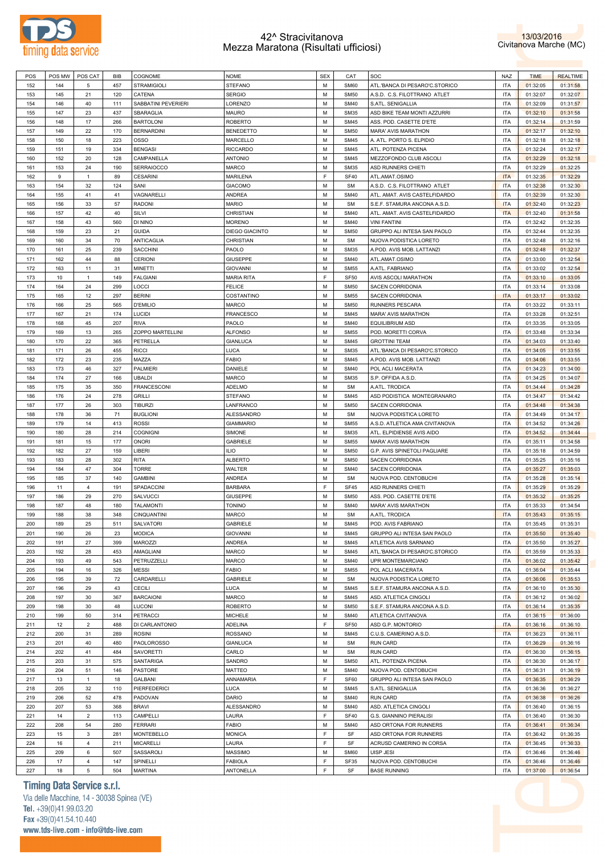



| POS | POS MW | POS CAT        | BIB | COGNOME             | <b>NOME</b>       | <b>SEX</b> | CAT         | SOC                            | NAZ        | <b>TIME</b> | <b>REALTIME</b> |
|-----|--------|----------------|-----|---------------------|-------------------|------------|-------------|--------------------------------|------------|-------------|-----------------|
| 152 | 144    | 5              | 457 | <b>STRAMIGIOLI</b>  | <b>STEFANO</b>    | M          | <b>SM60</b> | ATL.'BANCA DI PESARO'C.STORICO | <b>ITA</b> | 01:32:05    | 01:31:58        |
| 153 | 145    | 21             | 120 | CATENA              | <b>SERGIO</b>     | M          | <b>SM50</b> | A.S.D. C.S. FILOTTRANO ATLET   | <b>ITA</b> | 01:32:07    | 01:32:07        |
| 154 | 146    | 40             | 111 | SABBATINI PEVERIERI | LORENZO           | M          | <b>SM40</b> | S.ATL. SENIGALLIA              | <b>ITA</b> | 01:32:09    | 01:31:57        |
| 155 | 147    | 23             | 437 | SBARAGLIA           | <b>MAURO</b>      | M          | <b>SM35</b> | ASD BIKE TEAM MONTI AZZURRI    | <b>ITA</b> | 01:32:10    | 01:31:58        |
|     |        |                |     |                     |                   |            |             |                                |            |             |                 |
| 156 | 148    | 17             | 266 | <b>BARTOLONI</b>    | <b>ROBERTO</b>    | M          | <b>SM45</b> | ASS. POD. CASETTE D'ETE        | <b>ITA</b> | 01:32:14    | 01:31:59        |
| 157 | 149    | 22             | 170 | <b>BERNARDINI</b>   | <b>BENEDETTO</b>  | M          | <b>SM50</b> | MARA' AVIS MARATHON            | <b>ITA</b> | 01:32:17    | 01:32:10        |
| 158 | 150    | 18             | 223 | <b>OSSO</b>         | MARCELLO          | M          | <b>SM45</b> | A. ATL. PORTO S. ELPIDIO       | <b>ITA</b> | 01:32:18    | 01:32:18        |
| 159 | 151    | 19             | 334 | <b>BENGASI</b>      | <b>RICCARDO</b>   | M          | <b>SM45</b> | ATL. POTENZA PICENA            | <b>ITA</b> | 01:32:24    | 01:32:17        |
| 160 | 152    | 20             | 128 | CAMPANELLA          | <b>ANTONIO</b>    | M          | <b>SM45</b> | MEZZOFONDO CLUB ASCOLI         | <b>ITA</b> | 01:32:29    | 01:32:18        |
| 161 | 153    | 24             | 190 | <b>SERRAIOCCO</b>   | <b>MARCO</b>      | M          | <b>SM35</b> | ASD RUNNERS CHIETI             | <b>ITA</b> | 01:32:29    | 01:32:25        |
| 162 | 9      | $\mathbf{1}$   | 89  | <b>CESARINI</b>     | <b>MARILENA</b>   | E          | <b>SF40</b> | ATL.AMAT.OSIMO                 | <b>ITA</b> | 01:32:35    | 01:32:29        |
| 163 | 154    | 32             | 124 | SANI                | <b>GIACOMO</b>    | M          | <b>SM</b>   | A.S.D. C.S. FILOTTRANO ATLET   | <b>ITA</b> | 01:32:38    | 01:32:30        |
|     |        |                | 41  |                     |                   | M          | <b>SM40</b> |                                |            |             |                 |
| 164 | 155    | 41             |     | VAGNARELLI          | <b>ANDREA</b>     |            |             | ATL. AMAT. AVIS CASTELFIDARDO  | <b>ITA</b> | 01:32:39    | 01:32:30        |
| 165 | 156    | 33             | 57  | <b>RADONI</b>       | <b>MARIO</b>      | M          | <b>SM</b>   | S.E.F. STAMURA ANCONA A.S.D.   | <b>ITA</b> | 01:32:40    | 01:32:23        |
| 166 | 157    | 42             | 40  | SILVI               | CHRISTIAN         | M          | <b>SM40</b> | ATL. AMAT. AVIS CASTELFIDARDO  | <b>ITA</b> | 01:32:40    | 01:31:58        |
| 167 | 158    | 43             | 560 | DI NINO             | <b>MORENO</b>     | M          | <b>SM40</b> | <b>VINI FANTINI</b>            | <b>ITA</b> | 01:32:42    | 01:32:35        |
| 168 | 159    | 23             | 21  | <b>GUIDA</b>        | DIEGO GIACINTO    | M          | <b>SM50</b> | GRUPPO ALI INTESA SAN PAOLO    | <b>ITA</b> | 01:32:44    | 01:32:35        |
| 169 | 160    | 34             | 70  | <b>ANTICAGLIA</b>   | CHRISTIAN         | M          | <b>SM</b>   | NUOVA PODISTICA LORETO         | <b>ITA</b> | 01:32:48    | 01:32:16        |
| 170 | 161    | 25             | 239 | <b>SACCHINI</b>     | PAOLO             | M          | <b>SM35</b> | A.POD. AVIS MOB. LATTANZI      | <b>ITA</b> | 01:32:48    | 01:32:37        |
| 171 | 162    | 44             | 88  | <b>CERIONI</b>      | <b>GIUSEPPE</b>   | M          | <b>SM40</b> | ATL.AMAT.OSIMO                 | <b>ITA</b> | 01:33:00    | 01:32:54        |
| 172 |        | 11             | 31  |                     |                   | M          | <b>SM55</b> |                                | <b>ITA</b> |             |                 |
|     | 163    |                |     | <b>MINETTI</b>      | <b>GIOVANNI</b>   |            |             | A.ATL. FABRIANO                |            | 01:33:02    | 01:32:54        |
| 173 | 10     | $\mathbf{1}$   | 149 | <b>FALGIANI</b>     | <b>MARIA RITA</b> | E          | <b>SF50</b> | AVIS ASCOLI MARATHON           | <b>ITA</b> | 01:33:10    | 01:33:05        |
| 174 | 164    | 24             | 299 | <b>LOCCI</b>        | <b>FELICE</b>     | M          | <b>SM50</b> | <b>SACEN CORRIDONIA</b>        | <b>ITA</b> | 01:33:14    | 01:33:08        |
| 175 | 165    | 12             | 297 | <b>BERINI</b>       | COSTANTINO        | M          | <b>SM55</b> | SACEN CORRIDONIA               | <b>ITA</b> | 01:33:17    | 01:33:02        |
| 176 | 166    | 25             | 565 | <b>D'EMILIO</b>     | <b>MARCO</b>      | M          | <b>SM50</b> | <b>RUNNERS PESCARA</b>         | <b>ITA</b> | 01:33:22    | 01:33:11        |
| 177 | 167    | 21             | 174 | <b>LUCIDI</b>       | <b>FRANCESCO</b>  | M          | <b>SM45</b> | MARA' AVIS MARATHON            | <b>ITA</b> | 01:33:28    | 01:32:51        |
| 178 | 168    | 45             | 207 | <b>RIVA</b>         | PAOLO             | M          | <b>SM40</b> | <b>EQUILIBRIUM ASD</b>         | <b>ITA</b> | 01:33:35    | 01:33:05        |
| 179 | 169    | 13             | 265 | ZOPPO MARTELLINI    | <b>ALFONSO</b>    | M          | <b>SM55</b> | POD. MORETTI CORVA             | <b>ITA</b> | 01:33:48    | 01:33:34        |
|     |        |                |     |                     |                   |            |             |                                |            |             |                 |
| 180 | 170    | 22             | 365 | PETRELLA            | <b>GIANLUCA</b>   | M          | <b>SM45</b> | <b>GROTTINI TEAM</b>           | <b>ITA</b> | 01:34:03    | 01:33:40        |
| 181 | 171    | 26             | 455 | <b>RICCI</b>        | LUCA              | M          | <b>SM35</b> | ATL.'BANCA DI PESARO'C.STORICO | <b>ITA</b> | 01:34:05    | 01:33:55        |
| 182 | 172    | 23             | 235 | MAZZA               | <b>FABIO</b>      | M          | <b>SM45</b> | A.POD. AVIS MOB. LATTANZI      | <b>ITA</b> | 01:34:06    | 01:33:55        |
| 183 | 173    | 46             | 327 | PALMIERI            | DANIELE           | M          | <b>SM40</b> | POL ACLI MACERATA              | <b>ITA</b> | 01:34:23    | 01:34:00        |
| 184 | 174    | 27             | 166 | <b>UBALDI</b>       | <b>MARCO</b>      | M          | <b>SM35</b> | S.P. OFFIDA A.S.D.             | <b>ITA</b> | 01:34:25    | 01:34:07        |
| 185 | 175    | 35             | 350 | FRANCESCONI         | ADELMO            | M          | <b>SM</b>   | A.ATL. TRODICA                 | <b>ITA</b> | 01:34:44    | 01:34:28        |
| 186 | 176    | 24             | 278 | <b>GRILLI</b>       | <b>STEFANO</b>    | M          | <b>SM45</b> | ASD PODISTICA MONTEGRANARO     | <b>ITA</b> | 01:34:47    | 01:34:42        |
|     |        |                |     |                     |                   | M          |             |                                |            |             |                 |
| 187 | 177    | 26             | 303 | <b>TIBURZI</b>      | LANFRANCO         |            | <b>SM50</b> | SACEN CORRIDONIA               | <b>ITA</b> | 01:34:48    | 01:34:38        |
| 188 | 178    | 36             | 71  | <b>BUGLIONI</b>     | ALESSANDRO        | M          | <b>SM</b>   | NUOVA PODISTICA LORETO         | <b>ITA</b> | 01:34:49    | 01:34:17        |
| 189 | 179    | 14             | 413 | <b>ROSSI</b>        | <b>GIAMMARIO</b>  | M          | <b>SM55</b> | A.S.D. ATLETICA AMA CIVITANOVA | <b>ITA</b> | 01:34:52    | 01:34:26        |
| 190 | 180    | 28             | 214 | <b>COGNIGNI</b>     | SIMONE            | M          | <b>SM35</b> | ATL. ELPIDIENSE AVIS AIDO      | <b>ITA</b> | 01:34:52    | 01:34:44        |
| 191 | 181    | 15             | 177 | <b>ONORI</b>        | GABRIELE          | M          | <b>SM55</b> | MARA' AVIS MARATHON            | <b>ITA</b> | 01:35:11    | 01:34:58        |
| 192 | 182    | 27             | 159 | LIBERI              | <b>ILIO</b>       | M          | <b>SM50</b> | G.P. AVIS SPINETOLI PAGLIARE   | <b>ITA</b> | 01:35:18    | 01:34:59        |
| 193 | 183    | 28             | 302 | <b>RITA</b>         | <b>ALBERTO</b>    | M          | <b>SM50</b> | SACEN CORRIDONIA               | <b>ITA</b> | 01:35:25    | 01:35:16        |
| 194 | 184    | 47             | 304 | <b>TORRE</b>        | WALTER            | M          | <b>SM40</b> | SACEN CORRIDONIA               | <b>ITA</b> | 01:35:27    | 01:35:03        |
| 195 | 185    | 37             | 140 | <b>GAMBINI</b>      | <b>ANDREA</b>     | M          | <b>SM</b>   | NUOVA POD. CENTOBUCHI          | <b>ITA</b> | 01:35:28    | 01:35:14        |
|     |        |                |     |                     |                   | F          |             |                                |            |             |                 |
| 196 | 11     | $\overline{4}$ | 191 | SPADACCINI          | <b>BARBARA</b>    |            | <b>SF45</b> | ASD RUNNERS CHIETI             | <b>ITA</b> | 01:35:29    | 01:35:29        |
| 197 | 186    | 29             | 270 | SALVUCCI            | <b>GIUSEPPE</b>   | M          | <b>SM50</b> | ASS. POD. CASETTE D'ETE        | <b>ITA</b> | 01:35:32    | 01:35:25        |
| 198 | 187    | 48             | 180 | <b>TALAMONTI</b>    | <b>TONINO</b>     | M          | <b>SM40</b> | MARA' AVIS MARATHON            | <b>ITA</b> | 01:35:33    | 01:34:54        |
| 199 | 188    | 38             | 348 | CINQUANTINI         | MARCO             | M          | <b>SM</b>   | A.ATL. TRODICA                 | <b>ITA</b> | 01:35:43    | 01:35:15        |
| 200 | 189    | 25             | 511 | <b>SALVATORI</b>    | <b>GABRIELE</b>   | M          | <b>SM45</b> | POD. AVIS FABRIANO             | <b>ITA</b> | 01:35:45    | 01:35:31        |
| 201 | 190    | 26             | 23  | <b>MODICA</b>       | <b>GIOVANNI</b>   | M          | <b>SM45</b> | GRUPPO ALI INTESA SAN PAOLO    | <b>ITA</b> | 01:35:50    | 01:35:40        |
| 202 | 191    | 27             | 399 | MAROZZI             | <b>ANDREA</b>     | M          | <b>SM45</b> | ATLETICA AVIS SARNANO          | <b>ITA</b> | 01:35:50    | 01:35:27        |
| 203 | 192    | 28             | 453 | AMAGLIANI           | <b>MARCO</b>      | M          | <b>SM45</b> | ATL.'BANCA DI PESARO'C.STORICO | <b>ITA</b> | 01:35:59    | 01:35:33        |
| 204 | 193    | 49             | 543 | PETRUZZELLI         | MARCO             | M          | <b>SM40</b> | UPR MONTEMARCIANO              | <b>ITA</b> | 01:36:02    | 01:35:42        |
|     |        |                |     |                     |                   |            |             |                                |            |             |                 |
| 205 | 194    | 16             | 326 | <b>MESSI</b>        | <b>FABIO</b>      | M          | <b>SM55</b> | POL ACLI MACERATA              | <b>ITA</b> | 01:36:04    | 01:35:44        |
| 206 | 195    | 39             | 72  | CARDARELLI          | GABRIELE          | M          | <b>SM</b>   | NUOVA PODISTICA LORETO         | <b>ITA</b> | 01:36:06    | 01:35:53        |
| 207 | 196    | 29             | 43  | <b>CECILI</b>       | LUCA              | M          | <b>SM45</b> | S.E.F. STAMURA ANCONA A.S.D.   | <b>ITA</b> | 01:36:10    | 01:35:30        |
| 208 | 197    | 30             | 367 | <b>BARCAIONI</b>    | MARCO             | M          | <b>SM45</b> | ASD. ATLETICA CINGOLI          | <b>ITA</b> | 01:36:12    | 01:36:02        |
| 209 | 198    | 30             | 48  | LUCONI              | <b>ROBERTO</b>    | M          | <b>SM50</b> | S.E.F. STAMURA ANCONA A.S.D.   | <b>ITA</b> | 01:36:14    | 01:35:35        |
| 210 | 199    | 50             | 314 | PETRACCI            | MICHELE           | M          | <b>SM40</b> | ATLETICA CIVITANOVA            | <b>ITA</b> | 01:36:15    | 01:36:00        |
| 211 | 12     | $\overline{2}$ | 488 | DI CARLANTONIO      | ADELINA           | F          | <b>SF50</b> | ASD G.P. MONTORIO              | <b>ITA</b> | 01:36:16    | 01:36:10        |
| 212 |        |                |     | <b>ROSINI</b>       | <b>ROSSANO</b>    | M          | <b>SM45</b> | C.U.S. CAMERINO A.S.D.         | <b>ITA</b> | 01:36:23    | 01:36:11        |
|     |        |                |     |                     |                   |            |             |                                |            |             |                 |
|     | 200    | 31             | 289 |                     |                   |            |             |                                |            |             |                 |
| 213 | 201    | 40             | 480 | <b>PAOLOROSSO</b>   | <b>GIANLUCA</b>   | M          | <b>SM</b>   | RUN CARD                       | <b>ITA</b> | 01:36:29    | 01:36:16        |
| 214 | 202    | 41             | 484 | SAVORETTI           | CARLO             | M          | <b>SM</b>   | <b>RUN CARD</b>                | <b>ITA</b> | 01:36:30    | 01:36:15        |
| 215 | 203    | 31             | 575 | SANTARIGA           | SANDRO            | M          | <b>SM50</b> | ATL. POTENZA PICENA            | <b>ITA</b> | 01:36:30    | 01:36:17        |
| 216 | 204    | 51             | 146 | PASTORE             | MATTEO            | M          | <b>SM40</b> | NUOVA POD. CENTOBUCHI          | <b>ITA</b> | 01:36:31    | 01:36:19        |
| 217 | 13     | $\mathbf{1}$   | 18  | GALBANI             | ANNAMARIA         | F          | <b>SF60</b> | GRUPPO ALI INTESA SAN PAOLO    | <b>ITA</b> | 01:36:35    | 01:36:29        |
|     | 205    |                | 110 |                     |                   | M          | <b>SM45</b> |                                |            |             |                 |
| 218 |        | 32             |     | PIERFEDERICI        | LUCA              |            |             | S.ATL. SENIGALLIA              | <b>ITA</b> | 01:36:36    | 01:36:27        |
| 219 | 206    | 52             | 478 | PADOVAN             | DARIO             | M          | <b>SM40</b> | RUN CARD                       | <b>ITA</b> | 01:36:38    | 01:36:26        |
| 220 | 207    | 53             | 368 | <b>BRAVI</b>        | ALESSANDRO        | M          | <b>SM40</b> | ASD. ATLETICA CINGOLI          | <b>ITA</b> | 01:36:40    | 01:36:15        |
| 221 | 14     | $\overline{2}$ | 113 | CAMPELLI            | LAURA             | F          | <b>SF40</b> | G.S. GIANNINO PIERALISI        | <b>ITA</b> | 01:36:40    | 01:36:30        |
| 222 | 208    | 54             | 280 | <b>FERRARI</b>      | <b>FABIO</b>      | M          | <b>SM40</b> | ASD ORTONA FOR RUNNERS         | <b>ITA</b> | 01:36:41    | 01:36:34        |
| 223 | 15     | $\mathbf{3}$   | 281 | MONTEBELLO          | <b>MONICA</b>     | F          | SF          | ASD ORTONA FOR RUNNERS         | <b>ITA</b> | 01:36:42    | 01:36:35        |
| 224 | 16     | 4              | 211 | <b>MICARELLI</b>    | LAURA             | F          | SF          | ACRUSD CAMERINO IN CORSA       | <b>ITA</b> | 01:36:45    | 01:36:33        |
| 225 | 209    | 6              | 507 | SASSAROLI           | MASSIMO           | M          | <b>SM60</b> | UISP JESI                      | <b>ITA</b> | 01:36:46    | 01:36:46        |
| 226 | 17     | $\overline{4}$ | 147 | SPINELLI            | <b>FABIOLA</b>    | F          | SF35        | NUOVA POD. CENTOBUCHI          | <b>ITA</b> | 01:36:46    | 01:36:46        |

# **Timing Data Service s.r.l.**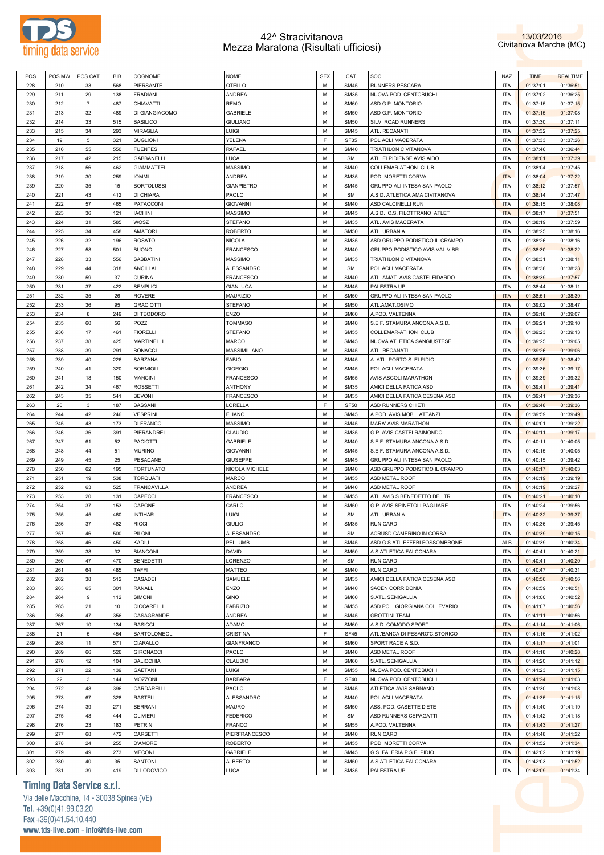



|     | POS MW | POS CAT        | <b>BIB</b> | COGNOME             | <b>NOME</b>       | <b>SEX</b> | CAT         | SOC                            | NAZ        | <b>TIME</b> | <b>REALTIME</b> |
|-----|--------|----------------|------------|---------------------|-------------------|------------|-------------|--------------------------------|------------|-------------|-----------------|
| 228 | 210    | 33             | 568        | PIERSANTE           | <b>OTELLO</b>     | M          | <b>SM45</b> | <b>RUNNERS PESCARA</b>         | ITA        | 01:37:01    | 01:36:51        |
| 229 | 211    | 29             | 138        | <b>FRADIANI</b>     | <b>ANDREA</b>     | M          | <b>SM35</b> | NUOVA POD. CENTOBUCHI          | ITA        | 01:37:02    | 01:36:25        |
|     |        |                |            |                     |                   |            |             |                                |            |             |                 |
| 230 | 212    | $\overline{7}$ | 487        | <b>CHIAVATTI</b>    | <b>REMO</b>       | М          | SM60        | ASD G.P. MONTORIO              | ITA        | 01:37:15    | 01:37:15        |
| 231 | 213    | 32             | 489        | DI GIANGIACOMO      | GABRIELE          | М          | <b>SM50</b> | ASD G.P. MONTORIO              | ITA        | 01:37:15    | 01:37:08        |
| 232 | 214    | 33             | 515        | <b>BASILICO</b>     | <b>GIULIANO</b>   | М          | <b>SM50</b> | SILVI ROAD RUNNERS             | <b>ITA</b> | 01:37:30    | 01:37:11        |
| 233 | 215    | 34             | 293        | <b>MIRAGLIA</b>     | LUIGI             | М          | <b>SM45</b> | ATL. RECANATI                  | <b>ITA</b> | 01:37:32    | 01:37:25        |
| 234 | 19     | 5              | 321        | <b>BUGLIONI</b>     | YELENA            | E          | <b>SF35</b> | POL ACLI MACERATA              | <b>ITA</b> | 01:37:33    | 01:37:26        |
|     |        |                |            |                     |                   |            |             |                                |            |             |                 |
| 235 | 216    | 55             | 550        | <b>FUENTES</b>      | RAFAEL            | М          | <b>SM40</b> | TRIATHLON CIVITANOVA           | ITA        | 01:37:46    | 01:36:44        |
| 236 | 217    | 42             | 215        | <b>GABBANELLI</b>   | LUCA              | M          | <b>SM</b>   | ATL. ELPIDIENSE AVIS AIDO      | <b>ITA</b> | 01:38:01    | 01:37:39        |
| 237 | 218    | 56             | 462        | <b>GIAMMATTEI</b>   | MASSIMO           | М          | <b>SM40</b> | COLLEMAR-ATHON CLUB            | <b>ITA</b> | 01:38:04    | 01:37:45        |
| 238 | 219    | 30             | 259        | <b>IOMMI</b>        | <b>ANDREA</b>     | M          | <b>SM35</b> | POD. MORETTI CORVA             | <b>ITA</b> | 01:38:04    | 01:37:22        |
| 239 | 220    | 35             | 15         | <b>BORTOLUSSI</b>   | <b>GIANPIETRO</b> | М          | <b>SM45</b> | GRUPPO ALI INTESA SAN PAOLO    | <b>ITA</b> | 01:38:12    | 01:37:57        |
|     |        |                |            |                     |                   |            |             |                                |            |             |                 |
| 240 | 221    | 43             | 412        | DI CHIARA           | PAOLO             | M          | <b>SM</b>   | A.S.D. ATLETICA AMA CIVITANOVA | <b>ITA</b> | 01:38:14    | 01:37:47        |
| 241 | 222    | 57             | 465        | <b>PATACCONI</b>    | <b>GIOVANNI</b>   | М          | <b>SM40</b> | ASD CALCINELLI RUN             | <b>ITA</b> | 01:38:15    | 01:38:08        |
| 242 | 223    | 36             | 121        | <b>IACHINI</b>      | <b>MASSIMO</b>    | M          | <b>SM45</b> | A.S.D. C.S. FILOTTRANO ATLET   | <b>ITA</b> | 01:38:17    | 01:37:51        |
| 243 | 224    | 31             | 585        | WOSZ                | <b>STEFANO</b>    | М          | <b>SM35</b> | ATL. AVIS MACERATA             | <b>ITA</b> | 01:38:19    | 01:37:59        |
| 244 | 225    | 34             | 458        | <b>AMATORI</b>      | <b>ROBERTO</b>    | М          | <b>SM50</b> | ATL. URBANIA                   | <b>ITA</b> | 01:38:25    | 01:38:16        |
|     |        |                | 196        | <b>ROSATO</b>       | <b>NICOLA</b>     | М          |             |                                | <b>ITA</b> |             |                 |
| 245 | 226    | 32             |            |                     |                   |            | <b>SM35</b> | ASD GRUPPO PODISTICO IL CRAMPO |            | 01:38:26    | 01:38:16        |
| 246 | 227    | 58             | 501        | <b>BUONO</b>        | FRANCESCO         | М          | <b>SM40</b> | GRUPPO PODISTICO AVIS VAL VIBR | <b>ITA</b> | 01:38:30    | 01:38:22        |
| 247 | 228    | 33             | 556        | SABBATINI           | <b>MASSIMO</b>    | М          | <b>SM35</b> | TRIATHLON CIVITANOVA           | ITA        | 01:38:31    | 01:38:11        |
| 248 | 229    | 44             | 318        | <b>ANCILLAI</b>     | <b>ALESSANDRO</b> | M          | <b>SM</b>   | POL ACLI MACERATA              | <b>ITA</b> | 01:38:38    | 01:38:23        |
| 249 | 230    | 59             | 37         | <b>CURINA</b>       | <b>FRANCESCO</b>  | М          | <b>SM40</b> | ATL. AMAT. AVIS CASTELFIDARDO  | ITA        | 01:38:39    | 01:37:57        |
| 250 | 231    | 37             | 422        | <b>SEMPLICI</b>     | <b>GIANLUCA</b>   | M          | <b>SM45</b> | PALESTRA UP                    | <b>ITA</b> | 01:38:44    | 01:38:11        |
|     |        |                |            |                     |                   |            |             |                                |            |             |                 |
| 251 | 232    | 35             | 26         | <b>ROVERE</b>       | <b>MAURIZIO</b>   | М          | <b>SM50</b> | GRUPPO ALI INTESA SAN PAOLO    | <b>ITA</b> | 01:38:51    | 01:38:39        |
| 252 | 233    | 36             | 95         | <b>GRACIOTTI</b>    | <b>STEFANO</b>    | M          | <b>SM50</b> | ATL.AMAT.OSIMO                 | <b>ITA</b> | 01:39:02    | 01:38:47        |
| 253 | 234    | 8              | 249        | DI TEODORO          | ENZO              | М          | SM60        | A.POD. VALTENNA                | <b>ITA</b> | 01:39:18    | 01:39:07        |
| 254 | 235    | 60             | 56         | POZZI               | <b>TOMMASO</b>    | M          | <b>SM40</b> | S.E.F. STAMURA ANCONA A.S.D.   | <b>ITA</b> | 01:39:21    | 01:39:10        |
| 255 | 236    | 17             | 461        | <b>FIORELLI</b>     | <b>STEFANO</b>    | М          | <b>SM55</b> | COLLEMAR-ATHON CLUB            | ITA        | 01:39:23    | 01:39:13        |
|     | 237    | 38             | 425        | <b>MARTINELLI</b>   | <b>MARCO</b>      | M          | <b>SM45</b> |                                | <b>ITA</b> |             |                 |
| 256 |        |                |            |                     |                   |            |             | NUOVA ATLETICA SANGIUSTESE     |            | 01:39:25    | 01:39:05        |
| 257 | 238    | 39             | 291        | <b>BONACCI</b>      | MASSIMILIANO      | М          | <b>SM45</b> | ATL. RECANATI                  | ITA        | 01:39:26    | 01:39:06        |
| 258 | 239    | 40             | 226        | SARZANA             | FABIO             | М          | <b>SM45</b> | A. ATL. PORTO S. ELPIDIO       | <b>ITA</b> | 01:39:35    | 01:38:42        |
| 259 | 240    | 41             | 320        | <b>BORMIOLI</b>     | <b>GIORGIO</b>    | М          | <b>SM45</b> | POL ACLI MACERATA              | ITA        | 01:39:36    | 01:39:17        |
| 260 | 241    | 18             | 150        | <b>MANCINI</b>      | FRANCESCO         | M          | <b>SM55</b> | AVIS ASCOLI MARATHON           | <b>ITA</b> | 01:39:39    | 01:39:32        |
| 261 | 242    | 34             | 467        | <b>ROSSETTI</b>     | <b>ANTHONY</b>    | М          | <b>SM35</b> | AMICI DELLA FATICA ASD         | ITA        | 01:39:41    | 01:39:41        |
|     |        |                |            |                     |                   |            |             |                                |            |             |                 |
| 262 | 243    | 35             | 541        | <b>BEVONI</b>       | FRANCESCO         | М          | <b>SM35</b> | AMICI DELLA FATICA CESENA ASD  | <b>ITA</b> | 01:39:41    | 01:39:36        |
| 263 | 20     | 3              | 187        | <b>BASSANI</b>      | LORELLA           | E          | <b>SF50</b> | ASD RUNNERS CHIETI             | <b>ITA</b> | 01:39:48    | 01:39:36        |
| 264 | 244    | 42             | 246        | <b>VESPRINI</b>     | <b>ELIANO</b>     | M          | <b>SM45</b> | A.POD. AVIS MOB. LATTANZI      | <b>ITA</b> | 01:39:59    | 01:39:49        |
| 265 | 245    | 43             | 173        | <b>DI FRANCO</b>    | MASSIMO           | М          | <b>SM45</b> | MARA' AVIS MARATHON            | ITA        | 01:40:01    | 01:39:22        |
| 266 | 246    | 36             | 391        | PIERANDREI          | <b>CLAUDIO</b>    | M          | <b>SM35</b> | G.P. AVIS CASTELRAIMONDO       | ITA        | 01:40:11    | 01:39:17        |
|     |        |                |            |                     |                   |            |             |                                |            |             |                 |
| 267 | 247    | 61             | 52         | <b>PACIOTTI</b>     | <b>GABRIELE</b>   | М          | <b>SM40</b> | S.E.F. STAMURA ANCONA A.S.D.   | ITA        | 01:40:11    | 01:40:05        |
| 268 | 248    | 44             | 51         | <b>MURINO</b>       | <b>GIOVANNI</b>   | M          | <b>SM45</b> | S.E.F. STAMURA ANCONA A.S.D.   | <b>ITA</b> | 01:40:15    | 01:40:05        |
| 269 | 249    | 45             | 25         | PESACANE            | <b>GIUSEPPE</b>   | М          | <b>SM45</b> | GRUPPO ALI INTESA SAN PAOLO    | <b>ITA</b> | 01:40:15    | 01:39:42        |
|     |        |                |            | <b>FORTUNATO</b>    | NICOLA MICHELE    | М          | <b>SM40</b> | ASD GRUPPO PODISTICO IL CRAMPO |            | 01:40:17    | 01:40:03        |
| 270 | 250    | 62             | 195        |                     |                   |            |             |                                | <b>ITA</b> |             |                 |
|     |        |                |            |                     |                   |            |             |                                |            |             |                 |
| 271 | 251    | 19             | 538        | <b>TORQUATI</b>     | <b>MARCO</b>      | М          | <b>SM55</b> | ASD METAL ROOF                 | ITA        | 01:40:19    | 01:39:19        |
| 272 | 252    | 63             | 525        | <b>FRANCAVILLA</b>  | <b>ANDREA</b>     | М          | <b>SM40</b> | ASD METAL ROOF                 | ITA        | 01:40:19    | 01:39:27        |
| 273 | 253    | 20             | 131        | CAPECCI             | FRANCESCO         | М          | <b>SM55</b> | ATL. AVIS S.BENEDETTO DEL TR.  | ITA        | 01:40:21    | 01:40:10        |
| 274 | 254    | 37             | 153        | CAPONE              | CARLO             | М          | <b>SM50</b> | G.P. AVIS SPINETOLI PAGLIARE   | <b>ITA</b> | 01:40:24    | 01:39:56        |
| 275 | 255    | 45             | 460        | <b>INTIHAR</b>      | LUIGI             | M          | <b>SM</b>   | ATL. URBANIA                   | <b>ITA</b> | 01:40:32    | 01:39:37        |
| 276 | 256    | 37             | 482        | <b>RICCI</b>        | <b>GIULIO</b>     | M          | <b>SM35</b> | <b>RUN CARD</b>                | <b>ITA</b> | 01:40:36    | 01:39:45        |
|     |        | 46             |            |                     |                   | М          | SM          |                                | ITA        |             |                 |
| 277 | 257    |                | 500        | PILONI              | ALESSANDRO        |            |             | ACRUSD CAMERINO IN CORSA       |            | 01:40:39    | 01:40:15        |
| 278 | 258    | 46             | 450        | KADIU               | PELLUMB           | M          | <b>SM45</b> | ASD.G.S.ATL.EFFEBI FOSSOMBRONE | ALB        | 01:40:39    | 01:40:34        |
| 279 | 259    | 38             | 32         | <b>BIANCONI</b>     | DAVID             | М          | <b>SM50</b> | A.S.ATLETICA FALCONARA         | <b>ITA</b> | 01:40:41    | 01:40:21        |
| 280 | 260    | 47             | 470        | <b>BENEDETTI</b>    | LORENZO           | M          | <b>SM</b>   | <b>RUN CARD</b>                | ITA        | 01:40:41    | 01:40:20        |
| 281 | 261    | 64             | 485        | <b>TAFFI</b>        | MATTEO            | М          | <b>SM40</b> | <b>RUN CARD</b>                | ITA        | 01:40:47    | 01:40:31        |
| 282 | 262    | 38             | 512        | CASADEI             | SAMUELE           | M          | <b>SM35</b> | AMICI DELLA FATICA CESENA ASD  | ITA        | 01:40:56    | 01:40:56        |
|     |        |                |            |                     |                   |            |             |                                |            |             |                 |
| 283 | 263    | 65             | 301        | RANALLI             | ENZO              | М          | <b>SM40</b> | SACEN CORRIDONIA               | ITA        | 01:40:59    | 01:40:51        |
| 284 | 264    | 9              | 112        | SIMONI              | <b>GINO</b>       | M          | SM60        | S.ATL. SENIGALLIA              | ITA        | 01:41:00    | 01:40:52        |
| 285 | 265    | 21             | 10         | <b>CICCARELLI</b>   | <b>FABRIZIO</b>   | М          | <b>SM55</b> | ASD POL. GIORGIANA COLLEVARIO  | ITA        | 01:41:07    | 01:40:56        |
| 286 | 266    | 47             | 356        | CASAGRANDE          | <b>ANDREA</b>     | M          | <b>SM45</b> | <b>GROTTINI TEAM</b>           | <b>ITA</b> | 01:41:11    | 01:40:56        |
| 287 | 267    | 10             | 134        | <b>RASICCI</b>      | ADAMO             | M          | SM60        | A.S.D. COMODO SPORT            | <b>ITA</b> | 01:41:14    | 01:41:06        |
| 288 | 21     | 5              | 454        | <b>BARTOLOMEOLI</b> | CRISTINA          | E          | <b>SF45</b> | ATL.'BANCA DI PESARO'C.STORICO | <b>ITA</b> | 01:41:16    | 01:41:02        |
|     |        |                |            |                     |                   |            |             |                                |            |             |                 |
| 289 | 268    | 11             | 571        | CIARALLO            | <b>GIANFRANCO</b> | M          | SM60        | SPORT RACE A.S.D.              | ITA        | 01:41:17    | 01:41:01        |
| 290 | 269    | 66             | 526        | <b>GIRONACCI</b>    | PAOLO             | M          | <b>SM40</b> | ASD METAL ROOF                 | <b>ITA</b> | 01:41:18    | 01:40:28        |
| 291 | 270    | 12             | 104        | <b>BALICCHIA</b>    | CLAUDIO           | М          | SM60        | S.ATL. SENIGALLIA              | ITA        | 01:41:20    | 01:41:12        |
| 292 | 271    | 22             | 139        | GAETANI             | LUIGI             | M          | <b>SM55</b> | NUOVA POD. CENTOBUCHI          | ITA        | 01:41:23    | 01:41:15        |
| 293 | 22     | 3              | 144        | MOZZONI             | <b>BARBARA</b>    | E          | <b>SF40</b> | NUOVA POD. CENTOBUCHI          | ITA        | 01:41:24    | 01:41:03        |
|     |        |                |            |                     |                   |            |             |                                |            |             |                 |
| 294 | 272    | 48             | 396        | CARDARELLI          | PAOLO             | M          | <b>SM45</b> | ATLETICA AVIS SARNANO          | ITA        | 01:41:30    | 01:41:08        |
| 295 | 273    | 67             | 328        | <b>RASTELLI</b>     | ALESSANDRO        | М          | <b>SM40</b> | POL ACLI MACERATA              | ITA        | 01:41:35    | 01:41:15        |
| 296 | 274    | 39             | 271        | <b>SERRANI</b>      | <b>MAURO</b>      | M          | <b>SM50</b> | ASS. POD. CASETTE D'ETE        | ITA        | 01:41:40    | 01:41:19        |
| 297 | 275    | 48             | 444        | <b>OLIVIERI</b>     | <b>FEDERICO</b>   | М          | <b>SM</b>   | ASD RUNNERS CEPAGATTI          | ITA        | 01:41:42    | 01:41:18        |
| 298 | 276    | 23             | 183        | PETRINI             | FRANCO            | M          | <b>SM55</b> | A.POD. VALTENNA                | ITA        | 01:41:43    | 01:41:27        |
|     |        |                |            |                     |                   | M          |             |                                |            |             |                 |
| 299 | 277    | 68             | 472        | CARSETTI            | PIERFRANCESCO     |            | <b>SM40</b> | <b>RUN CARD</b>                | ITA        | 01:41:48    | 01:41:22        |
| 300 | 278    | 24             | 255        | D'AMORE             | <b>ROBERTO</b>    | M          | <b>SM55</b> | POD. MORETTI CORVA             | <b>ITA</b> | 01:41:52    | 01:41:34        |
| 301 | 279    | 49             | 273        | <b>MECONI</b>       | GABRIELE          | M          | <b>SM45</b> | G.S. FALERIA P.S.ELPIDIO       | <b>ITA</b> | 01:42:02    | 01:41:19        |
| 302 | 280    | 40             | 35         | SANTONI             | <b>ALBERTO</b>    | М          | <b>SM50</b> | A.S.ATLETICA FALCONARA         | <b>ITA</b> | 01:42:03    | 01:41:52        |

# **Timing Data Service s.r.l.**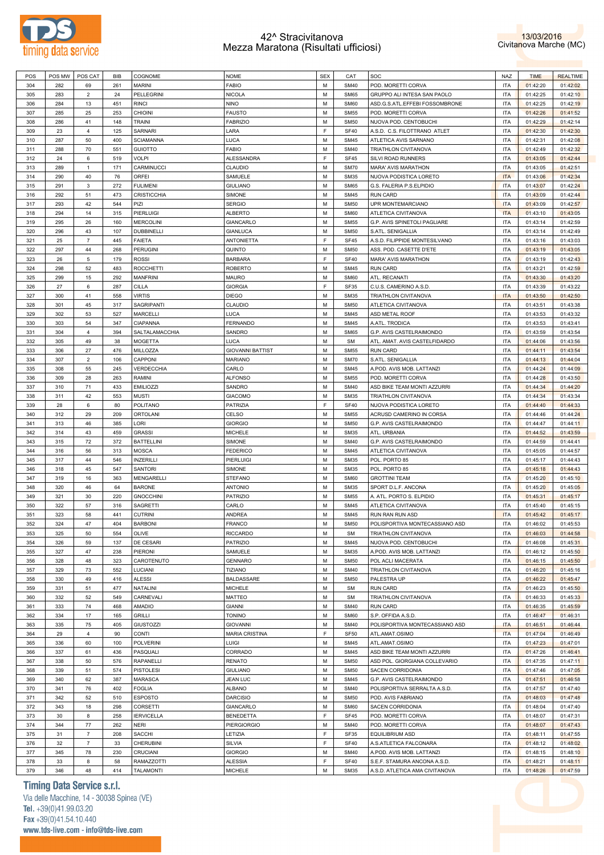



| POS | POS MW | POS CAT        | BIB | COGNOME            | <b>NOME</b>             | <b>SEX</b> | CAT         | <b>SOC</b>                     | NAZ        | <b>TIME</b> | <b>REALTIME</b> |
|-----|--------|----------------|-----|--------------------|-------------------------|------------|-------------|--------------------------------|------------|-------------|-----------------|
| 304 | 282    | 69             | 261 | <b>MARINI</b>      | FABIO                   | M          | <b>SM40</b> | POD. MORETTI CORVA             | <b>ITA</b> | 01:42:20    | 01:42:02        |
| 305 | 283    | $\overline{2}$ | 24  | PELLEGRINI         | <b>NICOLA</b>           | M          | <b>SM65</b> | GRUPPO ALI INTESA SAN PAOLO    | <b>ITA</b> | 01:42:25    | 01:42:10        |
|     |        |                |     |                    |                         |            |             |                                |            |             |                 |
| 306 | 284    | 13             | 451 | <b>RINCI</b>       | <b>NINO</b>             | м          | SM60        | ASD.G.S.ATL.EFFEBI FOSSOMBRONE | <b>ITA</b> | 01:42:25    | 01:42:19        |
| 307 | 285    | 25             | 253 | <b>CHIOINI</b>     | <b>FAUSTO</b>           | M          | <b>SM55</b> | POD. MORETTI CORVA             | <b>ITA</b> | 01:42:26    | 01:41:52        |
| 308 | 286    | 41             | 148 | <b>TRAINI</b>      | <b>FABRIZIO</b>         | M          | <b>SM50</b> | NUOVA POD. CENTOBUCHI          | <b>ITA</b> | 01:42:29    | 01:42:14        |
| 309 | 23     | $\overline{4}$ | 125 | <b>SARNARI</b>     | LARA                    | E          | <b>SF40</b> | A.S.D. C.S. FILOTTRANO ATLET   | <b>ITA</b> | 01:42:30    | 01:42:30        |
| 310 | 287    | 50             | 400 | <b>SCIAMANNA</b>   | LUCA                    | M          | <b>SM45</b> | ATLETICA AVIS SARNANO          | <b>ITA</b> | 01:42:31    | 01:42:08        |
| 311 | 288    | 70             | 551 | <b>GUIOTTO</b>     | FABIO                   | M          | <b>SM40</b> | TRIATHLON CIVITANOVA           | <b>ITA</b> | 01:42:49    | 01:42:32        |
|     |        |                |     |                    |                         |            |             |                                |            |             |                 |
| 312 | 24     | 6              | 519 | <b>VOLPI</b>       | <b>ALESSANDRA</b>       | E          | <b>SF45</b> | SILVI ROAD RUNNERS             | <b>ITA</b> | 01:43:05    | 01:42:44        |
| 313 | 289    | $\mathbf{1}$   | 171 | CARMINUCCI         | CLAUDIO                 | M          | <b>SM70</b> | <b>MARA' AVIS MARATHON</b>     | <b>ITA</b> | 01:43:05    | 01:42:51        |
| 314 | 290    | 40             | 76  | ORFEI              | SAMUELE                 | M          | <b>SM35</b> | NUOVA PODISTICA LORETO         | <b>ITA</b> | 01:43:06    | 01:42:34        |
| 315 | 291    | 3              | 272 | <b>FULIMENI</b>    | <b>GIULIANO</b>         | M          | <b>SM65</b> | G.S. FALERIA P.S.ELPIDIO       | <b>ITA</b> | 01:43:07    | 01:42:24        |
| 316 | 292    | 51             | 473 | <b>CRISTICCHIA</b> | <b>SIMONE</b>           | M          | <b>SM45</b> | <b>RUN CARD</b>                | <b>ITA</b> | 01:43:09    | 01:42:44        |
| 317 | 293    |                | 544 | PIZI               | <b>SERGIO</b>           | M          | <b>SM50</b> | UPR MONTEMARCIANO              | <b>ITA</b> |             |                 |
|     |        | 42             |     |                    |                         |            |             |                                |            | 01:43:09    | 01:42:57        |
| 318 | 294    | 14             | 315 | <b>PIERLUIGI</b>   | ALBERTO                 | M          | SM60        | ATLETICA CIVITANOVA            | <b>ITA</b> | 01:43:10    | 01:43:05        |
| 319 | 295    | 26             | 160 | <b>MERCOLINI</b>   | <b>GIANCARLO</b>        | M          | <b>SM55</b> | G.P. AVIS SPINETOLI PAGLIARE   | <b>ITA</b> | 01:43:14    | 01:42:59        |
| 320 | 296    | 43             | 107 | <b>DUBBINELLI</b>  | <b>GIANLUCA</b>         | M          | <b>SM50</b> | S.ATL. SENIGALLIA              | <b>ITA</b> | 01:43:14    | 01:42:49        |
| 321 | 25     | $\overline{7}$ | 445 | <b>FAIETA</b>      | <b>ANTONIETTA</b>       | E          | <b>SF45</b> | A.S.D. FILIPPIDE MONTESILVANO  | <b>ITA</b> | 01:43:16    | 01:43:03        |
| 322 | 297    | 44             | 268 | <b>PERUGINI</b>    | QUINTO                  | M          | <b>SM50</b> | ASS. POD. CASETTE D'ETE        | <b>ITA</b> | 01:43:19    | 01:43:05        |
| 323 | 26     | 5              | 179 | <b>ROSSI</b>       | <b>BARBARA</b>          | E          | <b>SF40</b> | MARA' AVIS MARATHON            | <b>ITA</b> | 01:43:19    | 01:42:43        |
|     |        |                |     |                    |                         |            |             |                                |            |             |                 |
| 324 | 298    | 52             | 483 | <b>ROCCHETTI</b>   | <b>ROBERTO</b>          | м          | <b>SM45</b> | <b>RUN CARD</b>                | <b>ITA</b> | 01:43:21    | 01:42:59        |
| 325 | 299    | 15             | 292 | <b>MANFRINI</b>    | <b>MAURO</b>            | M          | SM60        | ATL. RECANATI                  | <b>ITA</b> | 01:43:30    | 01:43:20        |
| 326 | 27     | 6              | 287 | <b>CILLA</b>       | <b>GIORGIA</b>          | E          | <b>SF35</b> | C.U.S. CAMERINO A.S.D.         | <b>ITA</b> | 01:43:39    | 01:43:22        |
| 327 | 300    | 41             | 558 | <b>VIRTIS</b>      | <b>DIEGO</b>            | M          | <b>SM35</b> | TRIATHLON CIVITANOVA           | <b>ITA</b> | 01:43:50    | 01:42:50        |
| 328 | 301    | 45             | 317 | <b>SAGRIPANTI</b>  | CLAUDIO                 | м          | <b>SM50</b> | ATLETICA CIVITANOVA            | <b>ITA</b> | 01:43:51    | 01:43:38        |
| 329 | 302    | 53             | 527 | <b>MARCELLI</b>    | LUCA                    | M          | <b>SM45</b> | <b>ASD METAL ROOF</b>          | <b>ITA</b> | 01:43:53    | 01:43:32        |
|     |        |                |     | <b>CIAPANNA</b>    |                         | M          |             |                                |            |             |                 |
| 330 | 303    | 54             | 347 |                    | FERNANDO                |            | <b>SM45</b> | A.ATL. TRODICA                 | <b>ITA</b> | 01:43:53    | 01:43:41        |
| 331 | 304    | $\overline{4}$ | 394 | SALTALAMACCHIA     | SANDRO                  | M          | <b>SM65</b> | G.P. AVIS CASTELRAIMONDO       | <b>ITA</b> | 01:43:59    | 01:43:54        |
| 332 | 305    | 49             | 38  | <b>MOGETTA</b>     | LUCA                    | M          | <b>SM</b>   | ATL. AMAT. AVIS CASTELFIDARDO  | <b>ITA</b> | 01:44:06    | 01:43:56        |
| 333 | 306    | 27             | 476 | MILLOZZA           | <b>GIOVANNI BATTIST</b> | M          | <b>SM55</b> | <b>RUN CARD</b>                | <b>ITA</b> | 01:44:11    | 01:43:54        |
| 334 | 307    | $\overline{2}$ | 106 | CAPPONI            | <b>MARIANO</b>          | M          | <b>SM70</b> | S.ATL. SENIGALLIA              | <b>ITA</b> | 01:44:13    | 01:44:04        |
| 335 | 308    | 55             | 245 | <b>VERDECCHIA</b>  | CARLO                   | M          | <b>SM45</b> | A.POD. AVIS MOB. LATTANZI      | <b>ITA</b> | 01:44:24    | 01:44:09        |
|     |        |                |     |                    |                         | M          |             |                                | <b>ITA</b> |             |                 |
| 336 | 309    | 28             | 263 | RAMINI             | <b>ALFONSO</b>          |            | <b>SM55</b> | POD. MORETTI CORVA             |            | 01:44:28    | 01:43:50        |
| 337 | 310    | 71             | 433 | <b>EMILIOZZI</b>   | SANDRO                  | M          | <b>SM40</b> | ASD BIKE TEAM MONTI AZZURRI    | <b>ITA</b> | 01:44:34    | 01:44:20        |
| 338 | 311    | 42             | 553 | <b>MUSTI</b>       | <b>GIACOMO</b>          | M          | <b>SM35</b> | TRIATHLON CIVITANOVA           | <b>ITA</b> | 01:44:34    | 01:43:34        |
| 339 | 28     | 6              | 80  | POLITANO           | <b>PATRIZIA</b>         | E          | <b>SF40</b> | NUOVA PODISTICA LORETO         | <b>ITA</b> | 01:44:40    | 01:44:33        |
| 340 | 312    | 29             | 209 | <b>ORTOLANI</b>    | CELSO                   | м          | <b>SM55</b> | ACRUSD CAMERINO IN CORSA       | <b>ITA</b> | 01:44:46    | 01:44:24        |
| 341 | 313    | 46             | 385 | LORI               | <b>GIORGIO</b>          | M          | <b>SM50</b> | G.P. AVIS CASTELRAIMONDO       | <b>ITA</b> | 01:44:47    | 01:44:11        |
| 342 | 314    | 43             | 459 | <b>GRASSI</b>      | <b>MICHELE</b>          | м          | <b>SM35</b> | ATL. URBANIA                   | <b>ITA</b> | 01:44:52    | 01:43:59        |
|     |        |                |     |                    |                         |            |             |                                |            |             |                 |
| 343 | 315    | 72             | 372 | <b>BATTELLINI</b>  | SIMONE                  | M          | <b>SM40</b> | G.P. AVIS CASTELRAIMONDO       | <b>ITA</b> | 01:44:59    | 01:44:41        |
| 344 | 316    | 56             | 313 | <b>MOSCA</b>       | <b>FEDERICO</b>         | м          | <b>SM45</b> | ATLETICA CIVITANOVA            | <b>ITA</b> | 01:45:05    | 01:44:57        |
| 345 | 317    | 44             | 546 | <b>INZERILLI</b>   | <b>PIERLUIGI</b>        | M          | <b>SM35</b> | POL. PORTO 85                  | <b>ITA</b> | 01:45:17    | 01:44:43        |
| 346 | 318    | 45             | 547 | <b>SANTORI</b>     | SIMONE                  | м          | <b>SM35</b> | POL. PORTO 85                  | <b>ITA</b> | 01:45:18    | 01:44:43        |
| 347 | 319    | 16             | 363 | MENGARELLI         | STEFANO                 | M          | SM60        | <b>GROTTINI TEAM</b>           | <b>ITA</b> | 01:45:20    | 01:45:10        |
| 348 | 320    | 46             | 64  | <b>BARONE</b>      | <b>ANTONIO</b>          | м          | <b>SM35</b> | SPORT D.L.F. ANCONA            | <b>ITA</b> | 01:45:20    | 01:45:05        |
| 349 | 321    | 30             | 220 | <b>GNOCCHINI</b>   | <b>PATRIZIO</b>         | M          | <b>SM55</b> | A. ATL. PORTO S. ELPIDIO       | <b>ITA</b> | 01:45:31    | 01:45:17        |
|     |        |                |     |                    |                         |            |             |                                |            |             |                 |
| 350 | 322    | 57             | 316 | SAGRETTI           | CARLO                   | м          | <b>SM45</b> | ATLETICA CIVITANOVA            | <b>ITA</b> | 01:45:40    | 01:45:15        |
| 351 | 323    | 58             | 441 | <b>CUTRINI</b>     | <b>ANDREA</b>           | M          | <b>SM45</b> | RUN RAN RUN ASD                | <b>ITA</b> | 01:45:42    | 01:45:17        |
| 352 | 324    | 47             | 404 | <b>BARBONI</b>     | <b>FRANCO</b>           | M          | <b>SM50</b> | POLISPORTIVA MONTECASSIANO ASD | <b>ITA</b> | 01:46:02    | 01:45:53        |
| 353 | 325    | 50             | 554 | OLIVE              | <b>RICCARDO</b>         | м          | <b>SM</b>   | TRIATHLON CIVITANOVA           | <b>ITA</b> | 01:46:03    | 01:44:58        |
| 354 | 326    | 59             | 137 | DE CESARI          | PATRIZIO                | M          | <b>SM45</b> | NUOVA POD. CENTOBUCHI          | <b>ITA</b> | 01:46:08    | 01:45:31        |
| 355 | 327    | 47             | 238 | PIERONI            | <b>SAMUELE</b>          | M          | <b>SM35</b> | A.POD. AVIS MOB. LATTANZI      | <b>ITA</b> | 01:46:12    | 01:45:50        |
|     |        |                |     | CAROTENUTO         | <b>GENNARO</b>          | M          |             |                                | <b>ITA</b> |             |                 |
| 356 | 328    | 48             | 323 |                    |                         |            | <b>SM50</b> | POL ACLI MACERATA              |            | 01:46:15    | 01:45:50        |
| 357 | 329    | 73             | 552 | LUCIANI            | <b>TIZIANO</b>          | M          | <b>SM40</b> | TRIATHLON CIVITANOVA           | <b>ITA</b> | 01:46:20    | 01:45:16        |
| 358 | 330    | 49             | 416 | <b>ALESSI</b>      | BALDASSARE              | M          | <b>SM50</b> | PALESTRA UP                    | <b>ITA</b> | 01:46:22    | 01:45:47        |
| 359 | 331    | 51             | 477 | NATALINI           | <b>MICHELE</b>          | M          | <b>SM</b>   | <b>RUN CARD</b>                | <b>ITA</b> | 01:46:23    | 01:45:50        |
| 360 | 332    | 52             | 549 | CARNEVALI          | MATTEO                  | м          | <b>SM</b>   | TRIATHLON CIVITANOVA           | <b>ITA</b> | 01:46:33    | 01:45:33        |
| 361 | 333    | 74             | 468 | <b>AMADIO</b>      | <b>GIANNI</b>           | M          | <b>SM40</b> | <b>RUN CARD</b>                | <b>ITA</b> | 01:46:35    | 01:45:59        |
| 362 | 334    | 17             | 165 | <b>GRILLI</b>      | <b>TONINO</b>           | M          | SM60        | S.P. OFFIDA A.S.D.             | <b>ITA</b> | 01:46:47    | 01:46:31        |
|     |        |                |     |                    |                         |            |             |                                |            |             |                 |
| 363 | 335    | 75             | 405 | GIUSTOZZI          | <b>GIOVANNI</b>         | M          | <b>SM40</b> | POLISPORTIVA MONTECASSIANO ASD | <b>ITA</b> | 01:46:51    | 01:46:44        |
| 364 | 29     | $\overline{4}$ | 90  | CONTI              | <b>MARIA CRISTINA</b>   | E          | <b>SF50</b> | ATL.AMAT.OSIMO                 | <b>ITA</b> | 01:47:04    | 01:46:49        |
| 365 | 336    | 60             | 100 | <b>POLVERINI</b>   | LUIGI                   | M          | <b>SM45</b> | ATL.AMAT.OSIMO                 | <b>ITA</b> | 01:47:23    | 01:47:01        |
| 366 | 337    | 61             | 436 | PASQUALI           | CORRADO                 | M          | <b>SM45</b> | ASD BIKE TEAM MONTI AZZURRI    | <b>ITA</b> | 01:47:26    | 01:46:41        |
| 367 | 338    | 50             | 576 | RAPANELLI          | <b>RENATO</b>           | M          | <b>SM50</b> | ASD POL. GIORGIANA COLLEVARIO  | <b>ITA</b> | 01:47:35    | 01:47:11        |
| 368 | 339    | 51             | 574 | <b>PISTOLESI</b>   | <b>GIULIANO</b>         | M          | <b>SM50</b> | SACEN CORRIDONIA               | <b>ITA</b> | 01:47:46    | 01:47:05        |
| 369 | 340    | 62             | 387 | <b>MARASCA</b>     | <b>JEAN LUC</b>         | M          | <b>SM45</b> | G.P. AVIS CASTELRAIMONDO       | <b>ITA</b> | 01:47:51    | 01:46:58        |
|     |        |                |     |                    |                         |            |             |                                |            |             |                 |
| 370 | 341    | 76             | 402 | <b>FOGLIA</b>      | <b>ALBANO</b>           | M          | <b>SM40</b> | POLISPORTIVA SERRALTA A.S.D.   | <b>ITA</b> | 01:47:57    | 01:47:40        |
| 371 | 342    | 52             | 510 | <b>ESPOSTO</b>     | <b>DARCISIO</b>         | M          | <b>SM50</b> | POD. AVIS FABRIANO             | <b>ITA</b> | 01:48:03    | 01:47:48        |
| 372 | 343    | 18             | 298 | <b>CORSETTI</b>    | <b>GIANCARLO</b>        | M          | <b>SM60</b> | SACEN CORRIDONIA               | <b>ITA</b> | 01:48:04    | 01:47:40        |
| 373 |        | 8              | 258 | <b>IERVICELLA</b>  | <b>BENEDETTA</b>        | E          | <b>SF45</b> | POD. MORETTI CORVA             | <b>ITA</b> | 01:48:07    | 01:47:31        |
|     | 30     |                |     |                    | <b>PIERGIORGIO</b>      | M          | <b>SM40</b> | POD. MORETTI CORVA             | <b>ITA</b> | 01:48:07    | 01:47:43        |
| 374 | 344    |                |     | <b>NERI</b>        |                         |            |             |                                |            |             |                 |
|     |        | 77             | 262 |                    |                         |            |             |                                |            |             |                 |
| 375 | 31     | $\overline{7}$ | 208 | <b>SACCHI</b>      | LETIZIA                 | E          | <b>SF35</b> | <b>EQUILIBRIUM ASD</b>         | <b>ITA</b> | 01:48:11    | 01:47:55        |
| 376 | 32     | $\overline{7}$ | 33  | <b>CHERUBINI</b>   | <b>SILVIA</b>           | F          | <b>SF40</b> | A.S.ATLETICA FALCONARA         | <b>ITA</b> | 01:48:12    | 01:48:02        |
| 377 | 345    | 78             | 230 | <b>CRUCIANI</b>    | <b>GIORGIO</b>          | M          | <b>SM40</b> | A.POD. AVIS MOB. LATTANZI      | <b>ITA</b> | 01:48:15    | 01:48:10        |
| 378 | 33     | 8              | 58  | RAMAZZOTTI         | <b>ALESSIA</b>          | E          | <b>SF40</b> | S.E.F. STAMURA ANCONA A.S.D.   | <b>ITA</b> | 01:48:21    | 01:48:11        |

**Timing Data Service s.r.l.**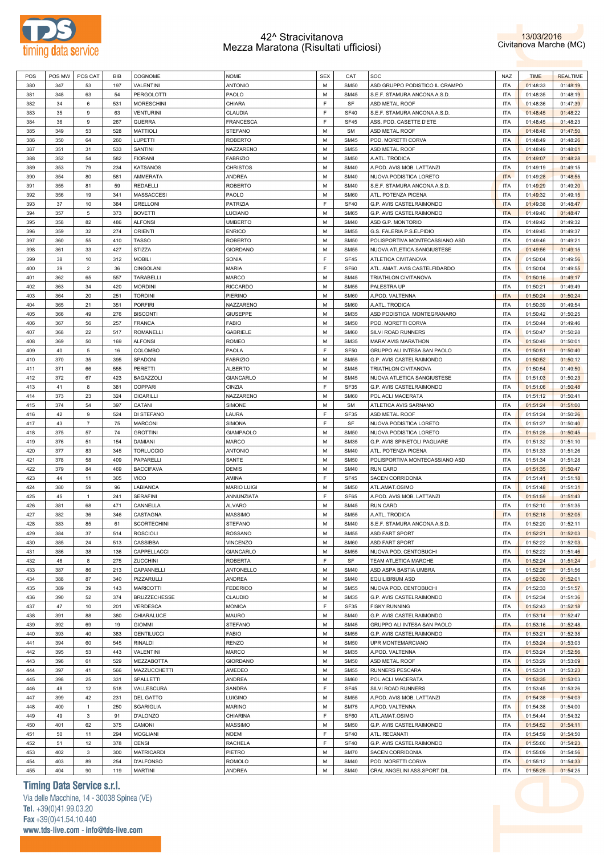



| POS | POS MW | POS CAT        | <b>BIB</b> | COGNOME             | <b>NOME</b>        | <b>SEX</b> | CAT         | SOC                                               | NAZ        | <b>TIME</b> | <b>REALTIME</b> |
|-----|--------|----------------|------------|---------------------|--------------------|------------|-------------|---------------------------------------------------|------------|-------------|-----------------|
| 380 | 347    | 53             | 197        | <b>VALENTINI</b>    | <b>ANTONIO</b>     | M          | <b>SM50</b> | ASD GRUPPO PODISTICO IL CRAMPO                    | <b>ITA</b> | 01:48:33    | 01:48:19        |
| 381 | 348    | 63             | 54         | PERGOLOTTI          | PAOLO              | M          | <b>SM45</b> | S.E.F. STAMURA ANCONA A.S.D                       | <b>ITA</b> | 01:48:35    | 01:48:19        |
|     |        |                |            |                     |                    | F          |             |                                                   |            |             |                 |
| 382 | 34     | 6              | 531        | <b>MORESCHINI</b>   | CHIARA             |            | SF          | ASD METAL ROOF                                    | <b>ITA</b> | 01:48:36    | 01:47:39        |
| 383 | 35     | 9              | 63         | VENTURINI           | CLAUDIA            | F          | <b>SF40</b> | S.E.F. STAMURA ANCONA A.S.D                       | <b>ITA</b> | 01:48:45    | 01:48:22        |
| 384 | 36     | $9$            | 267        | <b>GUERRA</b>       | <b>FRANCESCA</b>   | F          | <b>SF45</b> | ASS. POD. CASETTE D'ETE                           | <b>ITA</b> | 01:48:45    | 01:48:23        |
| 385 | 349    | 53             | 528        | <b>MATTIOLI</b>     | <b>STEFANO</b>     | M          | <b>SM</b>   | ASD METAL ROOF                                    | <b>ITA</b> | 01:48:48    | 01:47:50        |
| 386 | 350    | 64             | 260        | LUPETTI             | <b>ROBERTO</b>     | M          | <b>SM45</b> | POD. MORETTI CORVA                                | <b>ITA</b> | 01:48:49    | 01:48:26        |
| 387 | 351    | 31             | 533        | SANTINI             | NAZZARENO          | M          | <b>SM55</b> | ASD METAL ROOF                                    | <b>ITA</b> | 01:48:49    | 01:48:01        |
| 388 | 352    | 54             | 582        | <b>FIORANI</b>      | <b>FABRIZIO</b>    | M          | <b>SM50</b> | A.ATL. TRODICA                                    | <b>ITA</b> | 01:49:07    | 01:48:28        |
| 389 | 353    | 79             | 234        | KATSANOS            | <b>CHRISTOS</b>    | M          | <b>SM40</b> | A.POD. AVIS MOB. LATTANZI                         | <b>ITA</b> | 01:49:19    | 01:49:15        |
| 390 | 354    | 80             | 581        | AMMERATA            | ANDREA             | M          | <b>SM40</b> | NUOVA PODISTICA LORETO                            | <b>ITA</b> | 01:49:28    | 01:48:55        |
|     |        |                |            |                     |                    |            |             |                                                   |            |             |                 |
| 391 | 355    | 81             | 59         | REDAELLI            | <b>ROBERTO</b>     | M          | <b>SM40</b> | S.E.F. STAMURA ANCONA A.S.D                       | <b>ITA</b> | 01:49:29    | 01:49:20        |
| 392 | 356    | 19             | 341        | MASSACCESI          | PAOLO              | M          | <b>SM60</b> | ATL. POTENZA PICENA                               | <b>ITA</b> | 01:49:32    | 01:49:15        |
| 393 | 37     | 10             | 384        | <b>GRELLONI</b>     | PATRIZIA           | F          | <b>SF40</b> | G.P. AVIS CASTELRAIMONDO                          | <b>ITA</b> | 01:49:38    | 01:48:47        |
| 394 | 357    | 5              | 373        | <b>BOVETTI</b>      | LUCIANO            | M          | <b>SM65</b> | G.P. AVIS CASTELRAIMONDO                          | <b>ITA</b> | 01:49:40    | 01:48:47        |
| 395 | 358    | 82             | 486        | <b>ALFONSI</b>      | <b>UMBERTO</b>     | M          | <b>SM40</b> | ASD G.P. MONTORIO                                 | <b>ITA</b> | 01:49:42    | 01:49:32        |
| 396 | 359    | 32             | 274        | ORIENTI             | <b>ENRICO</b>      | M          | <b>SM55</b> | G.S. FALERIA P.S.ELPIDIO                          | <b>ITA</b> | 01:49:45    | 01:49:37        |
| 397 | 360    | 55             | 410        | <b>TASSO</b>        | <b>ROBERTO</b>     | M          | <b>SM50</b> | POLISPORTIVA MONTECASSIANO ASD                    | <b>ITA</b> | 01:49:46    | 01:49:21        |
| 398 | 361    | 33             | 427        | <b>STIZZA</b>       | <b>GIORDANO</b>    | M          | <b>SM55</b> | NUOVA ATLETICA SANGIUSTESE                        | <b>ITA</b> | 01:49:56    | 01:49:15        |
| 399 | 38     | 10             | 312        | <b>MOBILI</b>       | SONIA              | F          | <b>SF45</b> | ATLETICA CIVITANOVA                               | <b>ITA</b> | 01:50:04    | 01:49:56        |
| 400 | 39     | $\overline{2}$ | 36         | <b>CINGOLANI</b>    | MARIA              | F          | SF60        | ATL. AMAT. AVIS CASTELFIDARDO                     | <b>ITA</b> | 01:50:04    | 01:49:55        |
| 401 | 362    | 65             | 557        | TARABELLI           | <b>MARCO</b>       | M          | <b>SM45</b> | TRIATHLON CIVITANOVA                              | <b>ITA</b> | 01:50:16    | 01:49:17        |
| 402 | 363    |                | 420        | <b>MORDINI</b>      |                    | M          | <b>SM55</b> | PALESTRA UP                                       | <b>ITA</b> |             |                 |
|     |        | 34             |            |                     | <b>RICCARDO</b>    |            |             |                                                   |            | 01:50:21    | 01:49:49        |
| 403 | 364    | 20             | 251        | <b>TORDINI</b>      | PIERINO            | M          | <b>SM60</b> | A.POD. VALTENNA                                   | <b>ITA</b> | 01:50:24    | 01:50:24        |
| 404 | 365    | 21             | 351        | PORFIRI             | NAZZARENO          | M          | <b>SM60</b> | A.ATL. TRODICA                                    | <b>ITA</b> | 01:50:39    | 01:49:54        |
| 405 | 366    | 49             | 276        | <b>BISCONTI</b>     | GIUSEPPE           | M          | <b>SM35</b> | ASD PODISTICA MONTEGRANARO                        | <b>ITA</b> | 01:50:42    | 01:50:25        |
| 406 | 367    | 56             | 257        | <b>FRANCA</b>       | <b>FABIO</b>       | M          | <b>SM50</b> | POD, MORETTI CORVA                                | <b>ITA</b> | 01:50:44    | 01:49:46        |
| 407 | 368    | 22             | 517        | ROMANELLI           | <b>GABRIELE</b>    | M          | <b>SM60</b> | SILVI ROAD RUNNERS                                | <b>ITA</b> | 01:50:47    | 01:50:28        |
| 408 | 369    | 50             | 169        | <b>ALFONSI</b>      | <b>ROMEO</b>       | M          | <b>SM35</b> | MARA' AVIS MARATHON                               | <b>ITA</b> | 01:50:49    | 01:50:01        |
| 409 | 40     | 5              | 16         | COLOMBO             | PAOLA              | F          | <b>SF50</b> | GRUPPO ALI INTESA SAN PAOLO                       | <b>ITA</b> | 01:50:51    | 01:50:40        |
| 410 | 370    | 35             | 395        | SPADONI             | <b>FABRIZIO</b>    | M          | <b>SM55</b> | G.P. AVIS CASTELRAIMONDO                          | <b>ITA</b> | 01:50:52    | 01:50:12        |
| 411 | 371    | 66             | 555        | PERETTI             | <b>ALBERTO</b>     | M          | <b>SM45</b> | TRIATHLON CIVITANOVA                              | <b>ITA</b> | 01:50:54    | 01:49:50        |
| 412 | 372    | 67             | 423        | <b>BAGAZZOLI</b>    | GIANCARLO          | M          | <b>SM45</b> | NUOVA ATLETICA SANGIUSTESE                        | <b>ITA</b> | 01:51:03    | 01:50:23        |
|     |        |                |            |                     | CINZIA             | F          |             |                                                   | <b>ITA</b> |             |                 |
| 413 | 41     | 8              | 381        | COPPARI             |                    |            | <b>SF35</b> | G.P. AVIS CASTELRAIMONDO                          |            | 01:51:06    | 01:50:48        |
| 414 | 373    | 23             | 324        | CICARILLI           | NAZZARENO          | M          | <b>SM60</b> | POL ACLI MACERATA                                 | <b>ITA</b> | 01:51:12    | 01:50:41        |
| 415 | 374    | 54             | 397        | CATANI              | SIMONE             | M          | <b>SM</b>   | ATLETICA AVIS SARNANO                             | <b>ITA</b> | 01:51:24    | 01:51:00        |
| 416 | 42     | $9$            | 524        | DI STEFANO          | LAURA              | F          | <b>SF35</b> | ASD METAL ROOF                                    | <b>ITA</b> | 01:51:24    | 01:50:26        |
| 417 | 43     | $\overline{7}$ | 75         | <b>MARCONI</b>      | <b>SIMONA</b>      | F          | SF          | NUOVA PODISTICA LORETO                            | <b>ITA</b> | 01:51:27    | 01:50:40        |
| 418 | 375    | 57             | 74         | <b>GROTTINI</b>     | <b>GIAMPAOLO</b>   | M          | <b>SM50</b> | NUOVA PODISTICA LORETO                            | <b>ITA</b> | 01:51:28    | 01:50:45        |
|     |        |                |            |                     |                    |            |             |                                                   |            |             |                 |
| 419 | 376    | 51             | 154        | DAMIANI             | MARCO              | M          | <b>SM35</b> | G.P. AVIS SPINETOLI PAGLIARE                      | <b>ITA</b> | 01:51:32    | 01:51:10        |
| 420 | 377    | 83             | 345        | <b>TORLUCCIO</b>    | ANTONIO            | M          | <b>SM40</b> | ATL. POTENZA PICENA                               | <b>ITA</b> | 01:51:33    | 01:51:26        |
|     | 378    | 58             | 409        |                     |                    | M          | <b>SM50</b> |                                                   | <b>ITA</b> |             |                 |
| 421 |        |                |            | PAPARELLI           | SANTE              |            |             | POLISPORTIVA MONTECASSIANO ASD<br><b>RUN CARD</b> |            | 01:51:34    | 01:51:28        |
| 422 | 379    | 84             | 469        | <b>BACCIFAVA</b>    | <b>DEMIS</b>       | M          | <b>SM40</b> |                                                   | <b>ITA</b> | 01:51:35    | 01:50:47        |
| 423 | 44     | 11             | 305        | VICO                | AMINA              | F          | <b>SF45</b> | <b>SACEN CORRIDONIA</b>                           | <b>ITA</b> | 01:51:41    | 01:51:18        |
| 424 | 380    | 59             | 96         | LABIANCA            | <b>MARIO LUIGI</b> | M          | <b>SM50</b> | ATL.AMAT.OSIMO                                    | <b>ITA</b> | 01:51:48    | 01:51:31        |
| 425 | 45     | $\overline{1}$ | 241        | <b>SERAFINI</b>     | ANNUNZIATA         | F          | SF65        | A.POD. AVIS MOB. LATTANZI                         | <b>ITA</b> | 01:51:59    | 01:51:43        |
| 426 | 381    | 68             | 471        | CANNELLA            | ALVARO             | M          | <b>SM45</b> | <b>RUN CARD</b>                                   | <b>ITA</b> | 01:52:10    | 01:51:35        |
| 427 | 382    | 36             | 346        | CASTAGNA            | <b>MASSIMO</b>     | M          | <b>SM55</b> | A.ATL. TRODICA                                    | <b>ITA</b> | 01:52:18    | 01:52:05        |
| 428 | 383    | 85             | 61         | <b>SCORTECHINI</b>  | <b>STEFANO</b>     | M          | <b>SM40</b> | S.E.F. STAMURA ANCONA A.S.D                       | <b>ITA</b> | 01:52:20    | 01:52:11        |
| 429 | 384    | 37             | 514        | <b>ROSCIOLI</b>     | ROSSANO            | M          | <b>SM55</b> | ASD FART SPORT                                    | <b>ITA</b> | 01:52:21    | 01:52:03        |
| 430 | 385    | 24             | 513        | CASSIBBA            | VINCENZO           | M          | <b>SM60</b> | ASD FART SPORT                                    | <b>ITA</b> | 01:52:22    | 01:52:03        |
| 431 | 386    | 38             | 136        | CAPPELLACCI         | GIANCARLO          | M          | <b>SM55</b> | NUOVA POD. CENTOBUCHI                             | <b>ITA</b> | 01:52:22    | 01:51:46        |
| 432 | 46     | 8              | 275        | <b>ZUCCHINI</b>     | ROBERTA            | F          | SF          | TEAM ATLETICA MARCHE                              | <b>ITA</b> | 01:52:24    | 01:51:24        |
| 433 | 387    | 86             | 213        | CAPANNELLI          | ANTONELLO          | M          | <b>SM40</b> | ASD ASPA BASTIA UMBRA                             | <b>ITA</b> | 01:52:26    | 01:51:56        |
| 434 | 388    | 87             | 340        | PIZZARULLI          |                    | M          | <b>SM40</b> | <b>EQUILIBRIUM ASD</b>                            | <b>ITA</b> | 01:52:30    | 01:52:01        |
|     |        |                |            |                     | ANDREA             |            |             |                                                   |            |             |                 |
| 435 | 389    | 39             | 143        | <b>MARICOTTI</b>    | <b>FEDERICO</b>    | M          | <b>SM55</b> | NUOVA POD. CENTOBUCHI                             | <b>ITA</b> | 01:52:33    | 01:51:57        |
| 436 | 390    | 52             | 374        | <b>BRUZZECHESSE</b> | CLAUDIO            | M          | <b>SM35</b> | G.P. AVIS CASTELRAIMONDO                          | <b>ITA</b> | 01:52:34    | 01:51:36        |
| 437 | 47     | $10$           | 201        | VERDESCA            | <b>MONICA</b>      | F          | <b>SF35</b> | <b>FISKY RUNNING</b>                              | <b>ITA</b> | 01:52:43    | 01:52:18        |
| 438 | 391    | 88             | 380        | CHIARALUCE          | MAURO              | M          | <b>SM40</b> | G.P. AVIS CASTELRAIMONDO                          | <b>ITA</b> | 01:53:14    | 01:52:47        |
| 439 | 392    | 69             | 19         | <b>GIOMMI</b>       | <b>STEFANO</b>     | M          | <b>SM45</b> | GRUPPO ALI INTESA SAN PAOLO                       | <b>ITA</b> | 01:53:16    | 01:52:48        |
| 440 | 393    | 40             | 383        | <b>GENTILUCCI</b>   | FABIO              | M          | <b>SM55</b> | G.P. AVIS CASTELRAIMONDO                          | <b>ITA</b> | 01:53:21    | 01:52:38        |
| 441 | 394    | 60             | 545        | RINALDI             | RENZO              | M          | <b>SM50</b> | UPR MONTEMARCIANO                                 | <b>ITA</b> | 01:53:24    | 01:53:03        |
| 442 | 395    | 53             | 443        | VALENTINI           | MARCO              | M          | <b>SM35</b> | A.POD. VALTENNA                                   | <b>ITA</b> | 01:53:24    | 01:52:56        |
| 443 | 396    | 61             | 529        | MEZZABOTTA          | GIORDANO           | M          | <b>SM50</b> | ASD METAL ROOF                                    | <b>ITA</b> | 01:53:29    | 01:53:09        |
| 444 | 397    | 41             | 566        | MAZZUCCHETTI        | AMEDEO             | M          | <b>SM55</b> | RUNNERS PESCARA                                   | <b>ITA</b> | 01:53:31    | 01:53:23        |
|     | 398    |                |            |                     |                    | M          | <b>SM60</b> |                                                   |            |             |                 |
| 445 |        | 25             | 331        | SPALLETTI           | ANDREA             |            |             | POL ACLI MACERATA                                 | <b>ITA</b> | 01:53:35    | 01:53:03        |
| 446 | 48     | 12             | 518        | VALLESCURA          | SANDRA             | F          | <b>SF45</b> | SILVI ROAD RUNNERS                                | <b>ITA</b> | 01:53:45    | 01:53:26        |
| 447 | 399    | 42             | 231        | <b>DEL GATTO</b>    | LUIGINO            | M          | <b>SM55</b> | A.POD. AVIS MOB. LATTANZI                         | <b>ITA</b> | 01:54:38    | 01:54:03        |
| 448 | 400    | $\overline{1}$ | 250        | SGARIGLIA           | MARINO             | M          | <b>SM75</b> | A.POD. VALTENNA                                   | <b>ITA</b> | 01:54:38    | 01:54:00        |
| 449 | 49     | $\mathsf 3$    | 91         | D'ALONZO            | CHIARINA           | F          | SF60        | ATL.AMAT.OSIMO                                    | <b>ITA</b> | 01:54:44    | 01:54:32        |
| 450 | 401    | 62             | 375        | CAMONI              | MASSIMO            | M          | <b>SM50</b> | G.P. AVIS CASTELRAIMONDO                          | <b>ITA</b> | 01:54:52    | 01:54:11        |
| 451 | 50     | 11             | 294        | <b>MOGLIANI</b>     | <b>NOEMI</b>       | F          | <b>SF40</b> | ATL. RECANATI                                     | <b>ITA</b> | 01:54:59    | 01:54:50        |
| 452 | 51     | 12             | 378        | CENSI               | RACHELA            | F          | <b>SF40</b> | G.P. AVIS CASTELRAIMONDO                          | <b>ITA</b> | 01:55:00    | 01:54:23        |
| 453 | 402    | $\mathsf 3$    | 300        | MATRICARDI          | PIETRO             | M          | <b>SM70</b> | SACEN CORRIDONIA                                  | <b>ITA</b> | 01:55:09    | 01:54:56        |
| 454 | 403    | 89             | 254        | <b>D'ALFONSO</b>    | ROMOLO             | М          | <b>SM40</b> | POD. MORETTI CORVA                                | <b>ITA</b> | 01:55:12    | 01:54:33        |

# **Timing Data Service s.r.l.**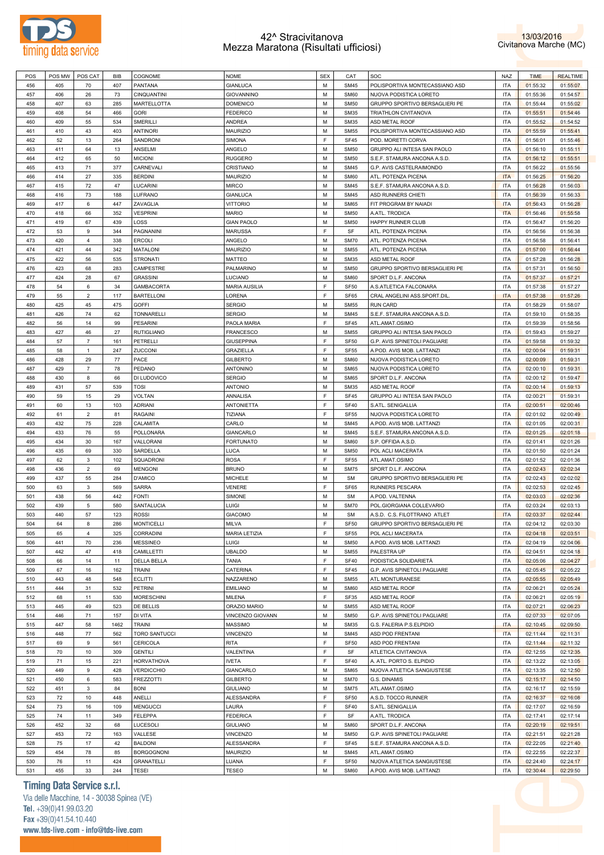



| POS | POS MW | POS CAT        | <b>BIB</b> | COGNOME              | <b>NOME</b>          | <b>SEX</b> | CAT              | SOC                            | NAZ        | <b>TIME</b> | <b>REALTIME</b> |
|-----|--------|----------------|------------|----------------------|----------------------|------------|------------------|--------------------------------|------------|-------------|-----------------|
| 456 | 405    | 70             | 407        | PANTANA              | <b>GIANLUCA</b>      | M          | <b>SM45</b>      | POLISPORTIVA MONTECASSIANO ASD | <b>ITA</b> | 01:55:32    | 01:55:07        |
| 457 | 406    | 26             | 73         | CINQUANTINI          | GIOVANNINO           | М          | SM60             | NUOVA PODISTICA LORETO         | <b>ITA</b> | 01:55:36    | 01:54:57        |
| 458 | 407    | 63             | 285        | <b>MARTELLOTTA</b>   | <b>DOMENICO</b>      | М          | <b>SM50</b>      | GRUPPO SPORTIVO BERSAGLIERI PE | <b>ITA</b> | 01:55:44    | 01:55:02        |
|     |        |                |            |                      |                      | М          |                  |                                |            |             |                 |
| 459 | 408    | 54             | 466        | <b>GORI</b>          | <b>FEDERICO</b>      |            | <b>SM35</b>      | TRIATHLON CIVITANOVA           | <b>ITA</b> | 01:55:51    | 01:54:46        |
| 460 | 409    | 55             | 534        | SMERILLI             | ANDREA               | M          | <b>SM35</b>      | ASD METAL ROOF                 | <b>ITA</b> | 01:55:52    | 01:54:52        |
| 461 | 410    | 43             | 403        | <b>ANTINORI</b>      | MAURIZIO             | M          | <b>SM55</b>      | POLISPORTIVA MONTECASSIANO ASD | <b>ITA</b> | 01:55:59    | 01:55:41        |
| 462 | 52     | 13             | 264        | SANDRONI             | SIMONA               | F          | <b>SF45</b>      | POD. MORETTI CORVA             | <b>ITA</b> | 01:56:01    | 01:55:46        |
| 463 | 411    | 64             | 13         | ANSELMI              | ANGELO               | M          | <b>SM50</b>      | GRUPPO ALI INTESA SAN PAOLO    | <b>ITA</b> | 01:56:10    | 01:55:11        |
| 464 | 412    | 65             | 50         | <b>MICIONI</b>       | <b>RUGGERO</b>       | M          | <b>SM50</b>      | S.E.F. STAMURA ANCONA A.S.D.   | <b>ITA</b> | 01:56:12    | 01:55:51        |
| 465 | 413    | 71             | 377        | CARNEVALI            | CRISTIANO            | M          | <b>SM45</b>      | G.P. AVIS CASTELRAIMONDO       | <b>ITA</b> | 01:56:22    | 01:55:56        |
| 466 | 414    | 27             | 335        | <b>BERDINI</b>       | MAURIZIO             | М          | SM60             | ATL. POTENZA PICENA            | <b>ITA</b> | 01:56:25    | 01:56:20        |
|     |        |                |            |                      |                      |            |                  |                                |            |             |                 |
| 467 | 415    | 72             | 47         | LUCARINI             | <b>MIRCO</b>         | M          | <b>SM45</b>      | S.E.F. STAMURA ANCONA A.S.D.   | <b>ITA</b> | 01:56:28    | 01:56:03        |
| 468 | 416    | 73             | 188        | LUFRANO              | <b>GIANLUCA</b>      | M          | <b>SM45</b>      | ASD RUNNERS CHIETI             | <b>ITA</b> | 01:56:39    | 01:56:33        |
| 469 | 417    | 6              | 447        | ZAVAGLIA             | <b>VITTORIO</b>      | M          | SM65             | FIT PROGRAM BY NAIADI          | <b>ITA</b> | 01:56:43    | 01:56:28        |
| 470 | 418    | 66             | 352        | <b>VESPRINI</b>      | <b>MARIO</b>         | М          | <b>SM50</b>      | A.ATL. TRODICA                 | <b>ITA</b> | 01:56:46    | 01:55:58        |
| 471 | 419    | 67             | 439        | LOSS                 | <b>GIAN PAOLO</b>    | M          | <b>SM50</b>      | HAPPY RUNNER CLUB              | <b>ITA</b> | 01:56:47    | 01:56:20        |
| 472 | 53     | 9              | 344        | PAGNANINI            | <b>MARUSSA</b>       | F          | SF               | ATL. POTENZA PICENA            | <b>ITA</b> | 01:56:56    | 01:56:38        |
| 473 | 420    | $\overline{4}$ | 338        | <b>ERCOLI</b>        | ANGELO               | M          | <b>SM70</b>      | ATL. POTENZA PICENA            | <b>ITA</b> | 01:56:58    | 01:56:41        |
|     |        |                |            |                      |                      |            |                  |                                |            |             |                 |
| 474 | 421    | 44             | 342        | MATALONI             | MAURIZIO             | М          | <b>SM55</b>      | ATL. POTENZA PICENA            | <b>ITA</b> | 01:57:00    | 01:56:44        |
| 475 | 422    | 56             | 535        | <b>STRONATI</b>      | <b>MATTEO</b>        | M          | <b>SM35</b>      | ASD METAL ROOF                 | <b>ITA</b> | 01:57:28    | 01:56:28        |
| 476 | 423    | 68             | 283        | CAMPESTRE            | PALMARINO            | M          | <b>SM50</b>      | GRUPPO SPORTIVO BERSAGLIERI PE | <b>ITA</b> | 01:57:31    | 01:56:50        |
| 477 | 424    | 28             | 67         | <b>GRASSINI</b>      | LUCIANO              | M          | SM60             | SPORT D.L.F. ANCONA            | <b>ITA</b> | 01:57:37    | 01:57:21        |
| 478 | 54     | 6              | 34         | GAMBACORTA           | <b>MARIA AUSILIA</b> | E          | <b>SF50</b>      | A.S.ATLETICA FALCONARA         | <b>ITA</b> | 01:57:38    | 01:57:27        |
| 479 | 55     | $\overline{2}$ | 117        | <b>BARTELLONI</b>    | LORENA               | E          | SF65             | CRAL ANGELINI ASS.SPORT.DIL    | <b>ITA</b> | 01:57:38    | 01:57:26        |
| 480 | 425    | 45             | 475        | <b>GOFFI</b>         | <b>SERGIO</b>        | M          | <b>SM55</b>      | <b>RUN CARD</b>                | <b>ITA</b> | 01:58:29    | 01:58:07        |
|     |        |                |            |                      |                      |            |                  |                                |            |             |                 |
| 481 | 426    | 74             | 62         | TONNARELLI           | <b>SERGIO</b>        | M          | <b>SM45</b>      | S.E.F. STAMURA ANCONA A.S.D.   | <b>ITA</b> | 01:59:10    | 01:58:35        |
| 482 | 56     | 14             | 99         | <b>PESARINI</b>      | PAOLA MARIA          | F          | <b>SF45</b>      | ATL.AMAT.OSIMO                 | <b>ITA</b> | 01:59:39    | 01:58:56        |
| 483 | 427    | 46             | 27         | <b>RUTIGLIANO</b>    | <b>FRANCESCO</b>     | M          | <b>SM55</b>      | GRUPPO ALI INTESA SAN PAOLO    | <b>ITA</b> | 01:59:43    | 01:59:27        |
| 484 | 57     | $\overline{7}$ | 161        | PETRELLI             | <b>GIUSEPPINA</b>    | F          | SF <sub>50</sub> | G.P. AVIS SPINETOLI PAGLIARE   | <b>ITA</b> | 01:59:58    | 01:59:32        |
| 485 | 58     | $\mathbf{1}$   | 247        | ZUCCONI              | <b>GRAZIELLA</b>     | F          | <b>SF55</b>      | A.POD. AVIS MOB. LATTANZI      | <b>ITA</b> | 02:00:04    | 01:59:31        |
| 486 | 428    | 29             | 77         | PACE                 | <b>GILBERTO</b>      | М          | SM60             | NUOVA PODISTICA LORETO         | <b>ITA</b> | 02:00:09    | 01:59:31        |
| 487 | 429    | $\overline{7}$ | 78         | PEDANO               | ANTONINO             | M          | SM65             | NUOVA PODISTICA LORETO         | <b>ITA</b> | 02:00:10    | 01:59:31        |
|     |        |                |            |                      |                      |            |                  |                                |            |             |                 |
| 488 | 430    | 8              | 66         | DI LUDOVICO          | <b>SERGIO</b>        | М          | SM65             | SPORT D.L.F. ANCONA            | <b>ITA</b> | 02:00:12    | 01:59:47        |
| 489 | 431    | 57             | 539        | <b>TOSI</b>          | <b>ANTONIO</b>       | M          | <b>SM35</b>      | ASD METAL ROOF                 | <b>ITA</b> | 02:00:14    | 01:59:13        |
| 490 | 59     | 15             | 29         | <b>VOLTAN</b>        | ANNALISA             | E          | <b>SF45</b>      | GRUPPO ALI INTESA SAN PAOLO    | <b>ITA</b> | 02:00:21    | 01:59:31        |
| 491 | 60     | 13             | 103        | <b>ADRIANI</b>       | <b>ANTONIETTA</b>    | E          | <b>SF40</b>      | S.ATL. SENIGALLIA              | <b>ITA</b> | 02:00:51    | 02:00:46        |
| 492 | 61     | $\overline{2}$ | 81         | <b>RAGAINI</b>       | TIZIANA              | F          | <b>SF55</b>      | NUOVA PODISTICA LORETO         | <b>ITA</b> | 02:01:02    | 02:00:49        |
| 493 | 432    | 75             | 228        | CALAMITA             | CARLO                | M          | <b>SM45</b>      | A.POD. AVIS MOB. LATTANZI      | <b>ITA</b> | 02:01:05    | 02:00:31        |
|     |        |                |            |                      |                      |            |                  |                                |            |             |                 |
| 494 | 433    | 76             | 55         | POLLONARA            | GIANCARLO            | М          | <b>SM45</b>      | S.E.F. STAMURA ANCONA A.S.D.   | <b>ITA</b> | 02:01:25    | 02:01:18        |
| 495 | 434    | 30             | 167        | VALLORANI            | <b>FORTUNATO</b>     | M          | SM60             | S.P. OFFIDA A.S.D.             | <b>ITA</b> | 02:01:41    | 02:01:26        |
| 496 | 435    | 69             | 330        | SARDELLA             | LUCA                 | M          | <b>SM50</b>      | POL ACLI MACERATA              | <b>ITA</b> | 02:01:50    | 02:01:24        |
| 497 | 62     | 3              | 102        | SQUADRONI            | <b>ROSA</b>          | F          | <b>SF55</b>      | ATL.AMAT.OSIMO                 | <b>ITA</b> | 02:01:52    | 02:01:36        |
| 498 | 436    | $\overline{2}$ | 69         | <b>MENGONI</b>       | <b>BRUNO</b>         | М          | <b>SM75</b>      | SPORT D.L.F. ANCONA            | <b>ITA</b> | 02:02:43    | 02:02:34        |
| 499 | 437    | 55             | 284        | D'AMICO              | <b>MICHELE</b>       | M          | <b>SM</b>        | GRUPPO SPORTIVO BERSAGLIERI PE | <b>ITA</b> | 02:02:43    | 02:02:02        |
| 500 | 63     | 3              | 569        | SARRA                | <b>VENERE</b>        | F          | SF65             | <b>RUNNERS PESCARA</b>         | <b>ITA</b> | 02:02:53    | 02:02:45        |
| 501 | 438    | 56             | 442        | <b>FONTI</b>         | SIMONE               | M          | <b>SM</b>        | A.POD. VALTENNA                | <b>ITA</b> | 02:03:03    | 02:02:36        |
|     |        |                |            |                      |                      |            |                  |                                |            |             |                 |
| 502 | 439    | 5              | 580        | SANTALUCIA           | LUIGI                | М          | <b>SM70</b>      | POL.GIORGIANA COLLEVARIO       | <b>ITA</b> | 02:03:24    | 02:03:13        |
| 503 | 440    | 57             | 123        | <b>ROSSI</b>         | <b>GIACOMO</b>       | М          | <b>SM</b>        | A.S.D. C.S. FILOTTRANO ATLET   | <b>ITA</b> | 02:03:37    | 02:02:44        |
| 504 | 64     | 8              | 286        | <b>MONTICELLI</b>    | <b>MILVA</b>         | E          | <b>SF50</b>      | GRUPPO SPORTIVO BERSAGLIERI PE | <b>ITA</b> | 02:04:12    | 02:03:30        |
| 505 | 65     | 4              | 325        | CORRADINI            | MARIA LETIZIA        | E          | <b>SF55</b>      | POL ACLI MACERATA              | <b>ITA</b> | 02:04:18    | 02:03:51        |
| 506 | 441    | 70             | 236        | <b>MESSINEO</b>      | LUIGI                | M          | <b>SM50</b>      | A.POD. AVIS MOB. LATTANZI      | <b>ITA</b> | 02:04:19    | 02:04:06        |
| 507 | 442    | 47             | 418        | CAMILLETTI           | <b>UBALDO</b>        | M          | <b>SM55</b>      | PALESTRA UP                    | <b>ITA</b> | 02:04:51    | 02:04:18        |
| 508 | 66     | 14             | 11         | <b>DELLA BELLA</b>   | <b>TANIA</b>         | F          | <b>SF40</b>      | PODISTICA SOLIDARIETÀ          | <b>ITA</b> | 02:05:06    | 02:04:27        |
| 509 | 67     | 16             | 162        | <b>TRAINI</b>        | CATERINA             | F          | <b>SF45</b>      | G.P. AVIS SPINETOLI PAGLIARE   | <b>ITA</b> | 02:05:45    | 02:05:22        |
|     |        |                |            |                      |                      |            |                  |                                |            |             |                 |
| 510 | 443    | 48             | 548        | <b>ECLITTI</b>       | NAZZARENO            | M          | <b>SM55</b>      | ATL MONTURANESE                | <b>ITA</b> | 02:05:55    | 02:05:49        |
| 511 | 444    | 31             | 532        | <b>PETRINI</b>       | <b>EMILIANO</b>      | M          | <b>SM60</b>      | ASD METAL ROOF                 | <b>ITA</b> | 02:06:21    | 02:05:24        |
| 512 | 68     | 11             | 530        | <b>MORESCHINI</b>    | MILENA               | F          | SF35             | ASD METAL ROOF                 | <b>ITA</b> | 02:06:21    | 02:05:19        |
| 513 | 445    | 49             | 523        | DE BELLIS            | ORAZIO MARIO         | M          | <b>SM55</b>      | ASD METAL ROOF                 | <b>ITA</b> | 02:07:21    | 02:06:23        |
| 514 | 446    | 71             | 157        | DI VITA              | VINCENZO GIOVANN     | M          | <b>SM50</b>      | G.P. AVIS SPINETOLI PAGLIARE   | <b>ITA</b> | 02:07:33    | 02:07:05        |
| 515 | 447    | 58             | 1462       | <b>TRAINI</b>        | <b>MASSIMO</b>       | M          | <b>SM35</b>      | G.S. FALERIA P.S.ELPIDIO       | <b>ITA</b> | 02:10:45    | 02:09:50        |
| 516 | 448    | 77             | 562        | <b>TORO SANTUCCI</b> | VINCENZO             | M          | <b>SM45</b>      | ASD POD FRENTANI               | <b>ITA</b> | 02:11:44    | 02:11:31        |
|     |        |                |            |                      |                      |            |                  |                                |            |             |                 |
| 517 | 69     | $\mathsf g$    | 561        | CERICOLA             | <b>RITA</b>          | E          | <b>SF50</b>      | ASD POD FRENTANI               | <b>ITA</b> | 02:11:44    | 02:11:32        |
| 518 | 70     | 10             | 309        | <b>GENTILI</b>       | VALENTINA            | F          | SF               | ATLETICA CIVITANOVA            | <b>ITA</b> | 02:12:55    | 02:12:35        |
| 519 | 71     | 15             | 221        | <b>HORVATHOVA</b>    | <b>IVETA</b>         | E          | <b>SF40</b>      | A. ATL. PORTO S. ELPIDIO       | <b>ITA</b> | 02:13:22    | 02:13:05        |
| 520 | 449    | 9              | 428        | <b>VERDICCHIO</b>    | GIANCARLO            | M          | SM65             | NUOVA ATLETICA SANGIUSTESE     | <b>ITA</b> | 02:13:35    | 02:12:50        |
| 521 | 450    | 6              | 583        | <b>FREZZOTTI</b>     | <b>GILBERTO</b>      | M          | <b>SM70</b>      | G.S. DINAMIS                   | <b>ITA</b> | 02:15:17    | 02:14:50        |
| 522 | 451    | 3              | 84         | <b>BONI</b>          | <b>GIULIANO</b>      | M          | <b>SM75</b>      | ATL.AMAT.OSIMO                 | <b>ITA</b> | 02:16:17    | 02:15:59        |
| 523 | 72     | 10             | 448        | ANELLI               | ALESSANDRA           | E          | <b>SF50</b>      | A.S.D. TOCCO RUNNER            | <b>ITA</b> | 02:16:37    | 02:16:08        |
|     |        |                |            |                      |                      |            |                  |                                |            |             |                 |
| 524 | 73     | 16             | 109        | <b>MENGUCCI</b>      | LAURA                | F          | <b>SF40</b>      | S.ATL. SENIGALLIA              | <b>ITA</b> | 02:17:07    | 02:16:59        |
| 525 | 74     | 11             | 349        | <b>FELEPPA</b>       | <b>FEDERICA</b>      | F          | SF               | A.ATL. TRODICA                 | <b>ITA</b> | 02:17:41    | 02:17:14        |
| 526 | 452    | 32             | 68         | LUCESOLI             | <b>GIULIANO</b>      | M          | <b>SM60</b>      | SPORT D.L.F. ANCONA            | <b>ITA</b> | 02:20:19    | 02:19:51        |
| 527 | 453    | 72             | 163        | VALLESE              | VINCENZO             | M          | <b>SM50</b>      | G.P. AVIS SPINETOLI PAGLIARE   | <b>ITA</b> | 02:21:51    | 02:21:28        |
| 528 | 75     | 17             | 42         | <b>BALDONI</b>       | ALESSANDRA           | F          | <b>SF45</b>      | S.E.F. STAMURA ANCONA A.S.D.   | <b>ITA</b> | 02:22:05    | 02:21:40        |
| 529 | 454    | 78             | 85         | <b>BORGOGNONI</b>    | MAURIZIO             | M          | <b>SM45</b>      | ATL.AMAT.OSIMO                 | <b>ITA</b> | 02:22:55    | 02:22:37        |
| 530 | 76     |                |            |                      | LUANA                | F          |                  |                                | <b>ITA</b> |             |                 |
|     |        | 11             | 424        | <b>GRANATELLI</b>    |                      |            | <b>SF50</b>      | NUOVA ATLETICA SANGIUSTESE     |            | 02:24:40    | 02:24:17        |
| 531 | 455    | 33             | 244        | <b>TESEI</b>         | <b>TESEO</b>         | М          | <b>SM60</b>      | A.POD. AVIS MOB. LATTANZI      | <b>ITA</b> | 02:30:44    | 02:29:50        |

# **Timing Data Service s.r.l.**